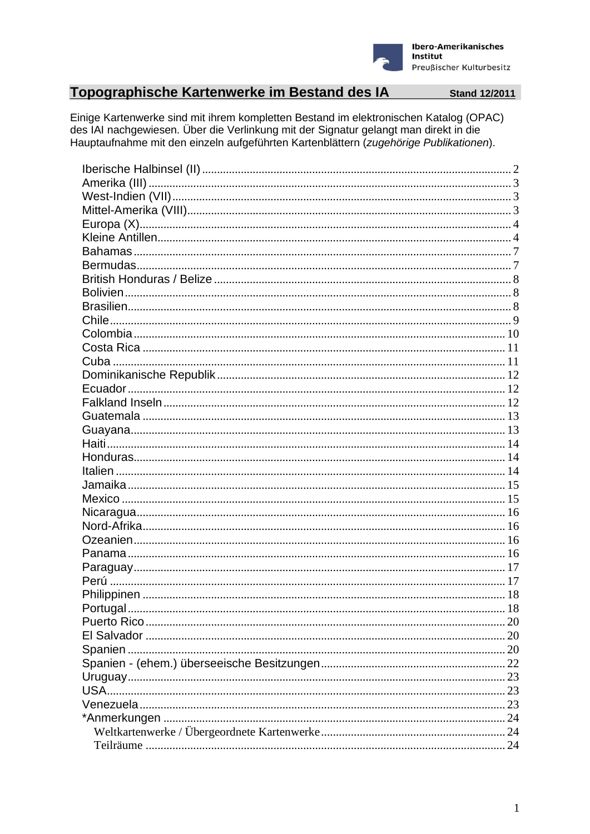

# Topographische Kartenwerke im Bestand des IA Stand 12/2011

Einige Kartenwerke sind mit ihrem kompletten Bestand im elektronischen Katalog (OPAC) des IAI nachgewiesen. Über die Verlinkung mit der Signatur gelangt man direkt in die Hauptaufnahme mit den einzeln aufgeführten Kartenblättern (zugehörige Publikationen).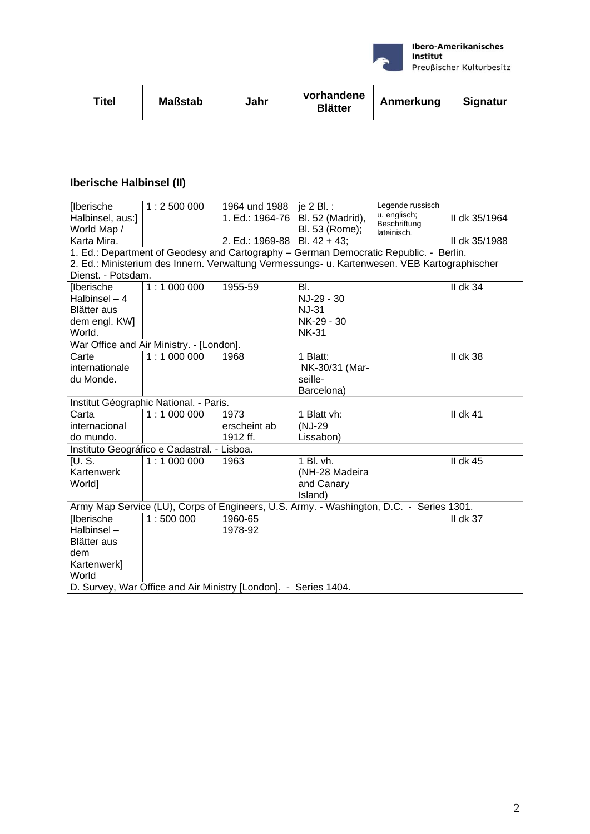

| <b>Signatur</b><br>Anmerkung<br><b>Blätter</b> |
|------------------------------------------------|
|------------------------------------------------|

# **Iberische Halbinsel (II)**

| [Iberische                               | 1:2500000                                   | 1964 und 1988                                                   | je 2 Bl. :                                                                                   | Legende russisch             |                 |  |  |
|------------------------------------------|---------------------------------------------|-----------------------------------------------------------------|----------------------------------------------------------------------------------------------|------------------------------|-----------------|--|--|
| Halbinsel, aus:]                         |                                             | 1. Ed.: 1964-76                                                 | Bl. 52 (Madrid),                                                                             | u. englisch;<br>Beschriftung | II dk 35/1964   |  |  |
| World Map /                              |                                             |                                                                 | Bl. 53 (Rome);                                                                               | lateinisch.                  |                 |  |  |
| Karta Mira.                              |                                             | 2. Ed.: 1969-88                                                 | Bl. $42 + 43$ ;                                                                              |                              | II dk 35/1988   |  |  |
|                                          |                                             |                                                                 | 1. Ed.: Department of Geodesy and Cartography - German Democratic Republic. - Berlin.        |                              |                 |  |  |
|                                          |                                             |                                                                 | 2. Ed.: Ministerium des Innern. Verwaltung Vermessungs- u. Kartenwesen. VEB Kartographischer |                              |                 |  |  |
| Dienst. - Potsdam.                       |                                             |                                                                 |                                                                                              |                              |                 |  |  |
| <b>Iberische</b>                         | 1:1000000                                   | 1955-59                                                         | BI.                                                                                          |                              | <b>II dk 34</b> |  |  |
| Halbinsel - 4                            |                                             |                                                                 | NJ-29 - 30                                                                                   |                              |                 |  |  |
| <b>Blätter</b> aus                       |                                             |                                                                 | <b>NJ-31</b>                                                                                 |                              |                 |  |  |
| dem engl. KW]                            |                                             |                                                                 | NK-29 - 30                                                                                   |                              |                 |  |  |
| World.                                   |                                             |                                                                 | <b>NK-31</b>                                                                                 |                              |                 |  |  |
| War Office and Air Ministry. - [London]. |                                             |                                                                 |                                                                                              |                              |                 |  |  |
| Carte                                    | 1:1000000                                   | 1968                                                            | 1 Blatt:                                                                                     |                              | <b>II dk 38</b> |  |  |
| internationale                           |                                             |                                                                 | NK-30/31 (Mar-                                                                               |                              |                 |  |  |
| du Monde.                                |                                             |                                                                 | seille-                                                                                      |                              |                 |  |  |
|                                          |                                             |                                                                 | Barcelona)                                                                                   |                              |                 |  |  |
| Institut Géographic National. - Paris.   |                                             |                                                                 |                                                                                              |                              |                 |  |  |
| Carta                                    | 1:1000000                                   | 1973                                                            | 1 Blatt vh:                                                                                  |                              | II dk $41$      |  |  |
| internacional                            |                                             | erscheint ab                                                    | (NJ-29                                                                                       |                              |                 |  |  |
| do mundo.                                |                                             | 1912 ff.                                                        | Lissabon)                                                                                    |                              |                 |  |  |
|                                          | Instituto Geográfico e Cadastral. - Lisboa. |                                                                 |                                                                                              |                              |                 |  |  |
| <b>IU.S.</b>                             | 1:1000000                                   | 1963                                                            | 1 Bl. vh.                                                                                    |                              | II dk 45        |  |  |
| Kartenwerk                               |                                             |                                                                 | (NH-28 Madeira                                                                               |                              |                 |  |  |
| World]                                   |                                             |                                                                 | and Canary                                                                                   |                              |                 |  |  |
|                                          |                                             |                                                                 | Island)                                                                                      |                              |                 |  |  |
|                                          |                                             |                                                                 | Army Map Service (LU), Corps of Engineers, U.S. Army. - Washington, D.C. - Series 1301.      |                              |                 |  |  |
| <b>Iberische</b>                         | 1:500000                                    | 1960-65                                                         |                                                                                              |                              | II dk $37$      |  |  |
| Halbinsel-                               |                                             | 1978-92                                                         |                                                                                              |                              |                 |  |  |
| <b>Blätter</b> aus                       |                                             |                                                                 |                                                                                              |                              |                 |  |  |
| dem                                      |                                             |                                                                 |                                                                                              |                              |                 |  |  |
| Kartenwerk]                              |                                             |                                                                 |                                                                                              |                              |                 |  |  |
| World                                    |                                             |                                                                 |                                                                                              |                              |                 |  |  |
|                                          |                                             | D. Survey, War Office and Air Ministry [London]. - Series 1404. |                                                                                              |                              |                 |  |  |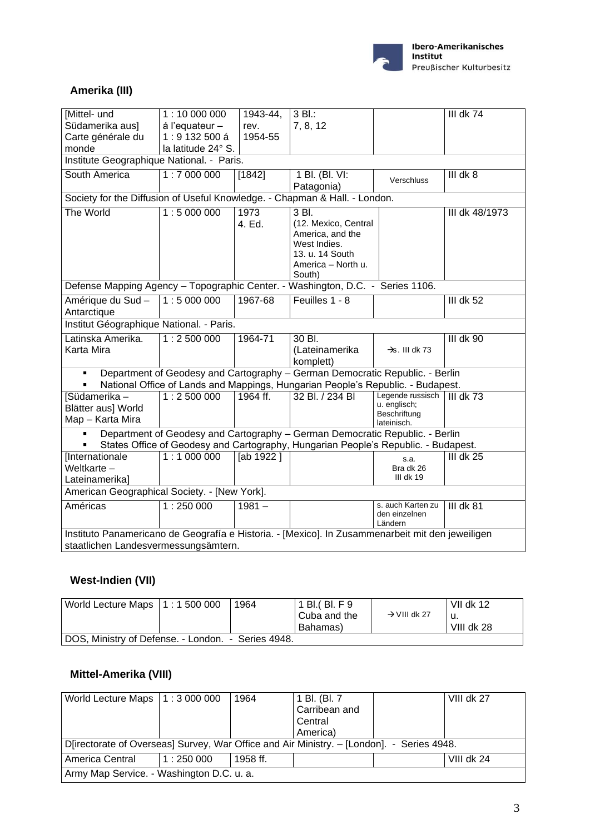

### **Amerika (III)**

| Mittel- und                                                                                      | 1:10 000 000                              | 1943-44,  | 3 Bl.:                                                                          |                                    | III dk 74      |  |  |  |
|--------------------------------------------------------------------------------------------------|-------------------------------------------|-----------|---------------------------------------------------------------------------------|------------------------------------|----------------|--|--|--|
| Südamerika aus]                                                                                  | á l'equateur -                            | rev.      | 7, 8, 12                                                                        |                                    |                |  |  |  |
| Carte générale du                                                                                | 1:9132500 á                               | 1954-55   |                                                                                 |                                    |                |  |  |  |
| monde                                                                                            | la latitude 24° S.                        |           |                                                                                 |                                    |                |  |  |  |
|                                                                                                  | Institute Geographique National. - Paris. |           |                                                                                 |                                    |                |  |  |  |
| South America                                                                                    | 1:7000000                                 | [1842]    | 1 Bl. (Bl. VI:                                                                  | Verschluss                         | III dk 8       |  |  |  |
|                                                                                                  |                                           |           | Patagonia)                                                                      |                                    |                |  |  |  |
| Society for the Diffusion of Useful Knowledge. - Chapman & Hall. - London.                       |                                           |           |                                                                                 |                                    |                |  |  |  |
| The World                                                                                        | 1:5000000                                 | 1973      | 3 Bl.                                                                           |                                    | III dk 48/1973 |  |  |  |
|                                                                                                  |                                           | 4. Ed.    | (12. Mexico, Central                                                            |                                    |                |  |  |  |
|                                                                                                  |                                           |           | America, and the<br>West Indies.                                                |                                    |                |  |  |  |
|                                                                                                  |                                           |           | 13. u. 14 South                                                                 |                                    |                |  |  |  |
|                                                                                                  |                                           |           | America - North u.                                                              |                                    |                |  |  |  |
|                                                                                                  |                                           |           | South)                                                                          |                                    |                |  |  |  |
| Washington, D.C. - Series 1106.<br>Defense Mapping Agency - Topographic Center. -                |                                           |           |                                                                                 |                                    |                |  |  |  |
| Amérique du Sud-                                                                                 | 1:5000000                                 | 1967-68   | Feuilles 1 - 8                                                                  |                                    | $III$ dk 52    |  |  |  |
| Antarctique                                                                                      |                                           |           |                                                                                 |                                    |                |  |  |  |
| Institut Géographique National. - Paris.                                                         |                                           |           |                                                                                 |                                    |                |  |  |  |
| Latinska Amerika.                                                                                | 1:2500000                                 | 1964-71   | 30 Bl.                                                                          |                                    | $III$ dk $90$  |  |  |  |
| Karta Mira                                                                                       |                                           |           | (Lateinamerika                                                                  | $\rightarrow$ s. III dk 73         |                |  |  |  |
|                                                                                                  |                                           |           | komplett)                                                                       |                                    |                |  |  |  |
|                                                                                                  |                                           |           | Department of Geodesy and Cartography - German Democratic Republic. - Berlin    |                                    |                |  |  |  |
|                                                                                                  |                                           |           | National Office of Lands and Mappings, Hungarian People's Republic. - Budapest. |                                    |                |  |  |  |
| [Südamerika -                                                                                    | 1:2500000                                 | 1964 ff.  | 32 Bl. / 234 Bl                                                                 | Legende russisch<br>u. englisch;   | III dk $73$    |  |  |  |
| Blätter aus] World                                                                               |                                           |           |                                                                                 | Beschriftung                       |                |  |  |  |
| Map - Karta Mira                                                                                 |                                           |           |                                                                                 | lateinisch.                        |                |  |  |  |
|                                                                                                  |                                           |           | Department of Geodesy and Cartography - German Democratic Republic. - Berlin    |                                    |                |  |  |  |
| States Office of Geodesy and Cartography, Hungarian People's Republic. - Budapest.               |                                           |           |                                                                                 |                                    |                |  |  |  |
| [Internationale                                                                                  | 1:1000000                                 | [ab 1922] |                                                                                 | s.a.                               | III dk 25      |  |  |  |
| Weltkarte-                                                                                       |                                           |           |                                                                                 | Bra dk 26<br>III dk 19             |                |  |  |  |
| Lateinamerika]                                                                                   |                                           |           |                                                                                 |                                    |                |  |  |  |
| American Geographical Society. - [New York].                                                     |                                           |           |                                                                                 |                                    |                |  |  |  |
| Américas                                                                                         | 1:250000                                  | $1981 -$  |                                                                                 | s. auch Karten zu<br>den einzelnen | $III$ dk 81    |  |  |  |
|                                                                                                  |                                           |           |                                                                                 | Ländern                            |                |  |  |  |
| Instituto Panamericano de Geografía e Historia. - [Mexico]. In Zusammenarbeit mit den jeweiligen |                                           |           |                                                                                 |                                    |                |  |  |  |
| staatlichen Landesvermessungsämtern.                                                             |                                           |           |                                                                                 |                                    |                |  |  |  |

### **West-Indien (VII)**

| World Lecture Maps   1 : 1 500 000                 |  | 1964 | 1 BI. (BI. F 9             |                          | VII dk 12  |  |  |
|----------------------------------------------------|--|------|----------------------------|--------------------------|------------|--|--|
|                                                    |  |      | l Cuba and the<br>Bahamas) | $\rightarrow$ VIII dk 27 | VIII dk 28 |  |  |
|                                                    |  |      |                            |                          |            |  |  |
| DOS, Ministry of Defense. - London. - Series 4948. |  |      |                            |                          |            |  |  |

# **Mittel-Amerika (VIII)**

| World Lecture Maps $\vert 1:3000000$                                                      |          | 1964     | 1 Bl. (Bl. 7  |  | VIII dk 27 |  |
|-------------------------------------------------------------------------------------------|----------|----------|---------------|--|------------|--|
|                                                                                           |          |          | Carribean and |  |            |  |
|                                                                                           |          |          | Central       |  |            |  |
|                                                                                           |          |          | America)      |  |            |  |
| D[irectorate of Overseas] Survey, War Office and Air Ministry. - [London]. - Series 4948. |          |          |               |  |            |  |
| America Central                                                                           | 1:250000 | 1958 ff. |               |  | VIII dk 24 |  |
| Army Map Service. - Washington D.C. u. a.                                                 |          |          |               |  |            |  |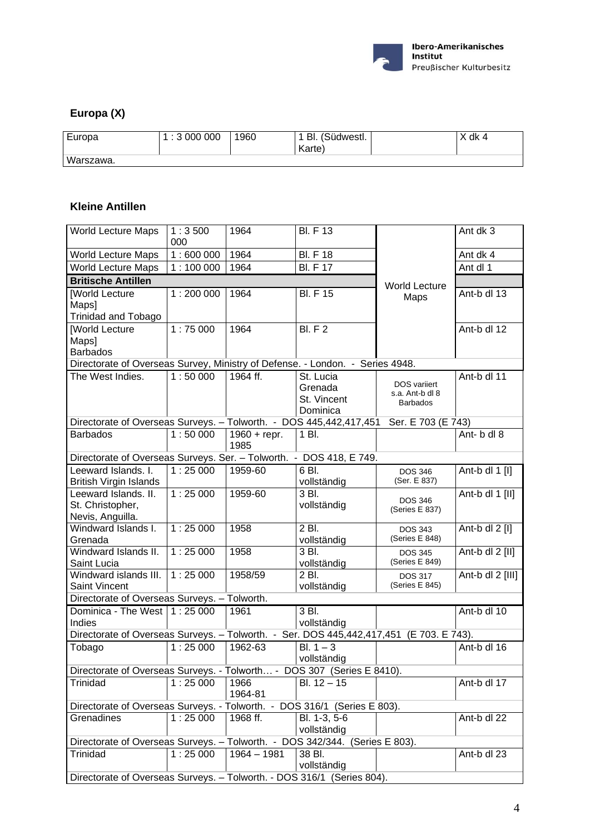

### **Europa (X)**

| Europa    | 1:3000000 | 1960 | BI. (Südwestl.<br>Karte) | Y dk 4 |
|-----------|-----------|------|--------------------------|--------|
| Warszawa. |           |      |                          |        |

#### **Kleine Antillen**

| <b>World Lecture Maps</b>                                                     | 1:3500<br>000 | 1964                   | <b>BI.</b> F 13                                 |                                                    | Ant dk 3         |  |
|-------------------------------------------------------------------------------|---------------|------------------------|-------------------------------------------------|----------------------------------------------------|------------------|--|
| <b>World Lecture Maps</b>                                                     | 1:600000      | 1964                   | <b>BI.</b> F 18                                 |                                                    | Ant dk 4         |  |
| <b>World Lecture Maps</b>                                                     | 1:100000      | 1964                   | <b>BI.</b> F 17                                 |                                                    | Ant dl 1         |  |
| <b>Britische Antillen</b>                                                     |               |                        |                                                 | <b>World Lecture</b>                               |                  |  |
| [World Lecture<br>Maps]                                                       | 1:200000      | 1964                   | <b>BI.</b> F 15                                 | Maps                                               | Ant-b dl 13      |  |
| Trinidad and Tobago                                                           |               |                        |                                                 |                                                    |                  |  |
| [World Lecture<br>Maps]<br><b>Barbados</b>                                    | 1:75000       | 1964                   | <b>BI.</b> F 2                                  |                                                    | Ant-b dl 12      |  |
| Directorate of Overseas Survey, Ministry of Defense. - London. - Series 4948. |               |                        |                                                 |                                                    |                  |  |
| The West Indies.                                                              | 1:50000       | 1964 ff.               | St. Lucia<br>Grenada<br>St. Vincent<br>Dominica | DOS variiert<br>s.a. Ant-b dl 8<br><b>Barbados</b> | Ant-b dl 11      |  |
| Directorate of Overseas Surveys. - Tolworth. - DOS 445,442,417,451            |               |                        |                                                 | Ser. E 703 (E 743)                                 |                  |  |
| <b>Barbados</b>                                                               | 1:50000       | $1960 +$ repr.<br>1985 | 1 Bl.                                           |                                                    | Ant- b dl 8      |  |
| Directorate of Overseas Surveys. Ser. - Tolworth. - DOS 418, E 749.           |               |                        |                                                 |                                                    |                  |  |
| Leeward Islands. I.<br><b>British Virgin Islands</b>                          | 1:25000       | 1959-60                | 6 BI.<br>vollständig                            | <b>DOS 346</b><br>(Ser. E 837)                     | Ant-b dl 1 [I]   |  |
| Leeward Islands, II.<br>St. Christopher,<br>Nevis, Anguilla.                  | 1:25000       | 1959-60                | 3 BI.<br>vollständig                            | <b>DOS 346</b><br>(Series E 837)                   | Ant-b dl 1 [II]  |  |
| Windward Islands I.<br>Grenada                                                | 1:25000       | 1958                   | $2B$ .<br>vollständig                           | <b>DOS 343</b><br>(Series E 848)                   | Ant-b dl $2$ [I] |  |
| Windward Islands II.<br>Saint Lucia                                           | 1:25000       | 1958                   | $3$ Bl.<br>vollständig                          | <b>DOS 345</b><br>(Series E 849)                   | Ant-b dl 2 [II]  |  |
| Windward islands III.<br>Saint Vincent                                        | 1:25000       | 1958/59                | 2 Bl.<br>vollständig                            | <b>DOS 317</b><br>(Series E 845)                   | Ant-b dl 2 [III] |  |
| Directorate of Overseas Surveys. - Tolworth.                                  |               |                        |                                                 |                                                    |                  |  |
| Dominica - The West $\vert$ 1 : 25 000<br>Indies                              |               | 1961                   | 3 Bl.<br>vollständig                            |                                                    | Ant-b dl 10      |  |
| Directorate of Overseas Surveys. - Tolworth. - Ser. DOS 445,442,417,451       |               |                        |                                                 | (E 703. E 743).                                    |                  |  |
| Tobago                                                                        | 1:25000       | 1962-63                | $BI. 1 - 3$<br>vollständig                      |                                                    | Ant-b dl 16      |  |
| Directorate of Overseas Surveys. - Tolworth - DOS 307 (Series E 8410).        |               |                        |                                                 |                                                    |                  |  |
| Trinidad                                                                      | 1:25000       | 1966<br>1964-81        | $BI. 12 - 15$                                   |                                                    | Ant-b dl 17      |  |
| Directorate of Overseas Surveys. - Tolworth. -                                |               |                        | DOS 316/1 (Series E 803).                       |                                                    |                  |  |
| Grenadines                                                                    | 1:25000       | 1968 ff.               | Bl. 1-3, 5-6<br>vollständig                     |                                                    | Ant-b dl 22      |  |
| Directorate of Overseas Surveys. - Tolworth. - DOS 342/344. (Series E 803).   |               |                        |                                                 |                                                    |                  |  |
| Trinidad                                                                      | 1:25000       | $1964 - 1981$          | 38 Bl.<br>vollständig                           |                                                    | Ant-b dl 23      |  |
| Directorate of Overseas Surveys. - Tolworth. - DOS 316/1 (Series 804).        |               |                        |                                                 |                                                    |                  |  |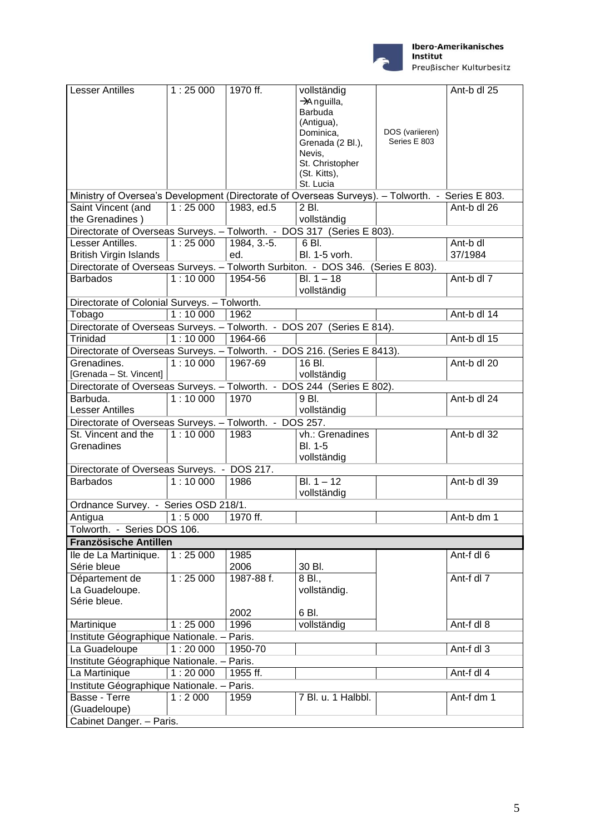

Preußischer Kulturbesitz

| <b>Lesser Antilles</b>                                                                           | 1:25000 | 1970 ff.      | vollständig                   |                                 | Ant-b dl 25    |  |
|--------------------------------------------------------------------------------------------------|---------|---------------|-------------------------------|---------------------------------|----------------|--|
|                                                                                                  |         |               | $\rightarrow$ Anguilla,       |                                 |                |  |
|                                                                                                  |         |               | Barbuda                       |                                 |                |  |
|                                                                                                  |         |               | (Antigua),                    |                                 |                |  |
|                                                                                                  |         |               | Dominica,<br>Grenada (2 Bl.), | DOS (variieren)<br>Series E 803 |                |  |
|                                                                                                  |         |               | Nevis,                        |                                 |                |  |
|                                                                                                  |         |               | St. Christopher               |                                 |                |  |
|                                                                                                  |         |               | (St. Kitts),                  |                                 |                |  |
|                                                                                                  |         |               | St. Lucia                     |                                 |                |  |
| Ministry of Oversea's Development (Directorate of Overseas Surveys). - Tolworth. - Series E 803. |         |               |                               |                                 |                |  |
| Saint Vincent (and                                                                               | 1:25000 | 1983, ed.5    | $2$ Bl.                       |                                 | Ant- $b$ dl 26 |  |
| the Grenadines)                                                                                  |         |               | vollständig                   |                                 |                |  |
| Directorate of Overseas Surveys. - Tolworth. - DOS 317 (Series E 803).                           |         |               |                               |                                 |                |  |
| Lesser Antilles.                                                                                 | 1:25000 | $1984, 3.-5.$ | 6 Bl.                         |                                 | Ant-b dl       |  |
| <b>British Virgin Islands</b>                                                                    |         | ed.           | Bl. 1-5 vorh.                 |                                 | 37/1984        |  |
| Directorate of Overseas Surveys. - Tolworth Surbiton. - DOS 346. (Series E 803).                 |         |               |                               |                                 |                |  |
| <b>Barbados</b>                                                                                  | 1:10000 | 1954-56       | $BI. 1 - 18$                  |                                 | Ant-b dl 7     |  |
|                                                                                                  |         |               | vollständig                   |                                 |                |  |
| Directorate of Colonial Surveys. - Tolworth.                                                     |         |               |                               |                                 |                |  |
| Tobago                                                                                           | 1:10000 | 1962          |                               |                                 | Ant-b dl 14    |  |
| Directorate of Overseas Surveys. - Tolworth. - DOS 207 (Series E 814).                           |         |               |                               |                                 |                |  |
| <b>Trinidad</b>                                                                                  | 1:10000 | 1964-66       |                               |                                 | Ant-b dl 15    |  |
| Directorate of Overseas Surveys. - Tolworth. - DOS 216. (Series E 8413).                         |         |               |                               |                                 |                |  |
| Grenadines.                                                                                      | 1:10000 | 1967-69       | $16B$ .                       |                                 | Ant-b dl 20    |  |
| [Grenada - St. Vincent]                                                                          |         |               | vollständig                   |                                 |                |  |
| Directorate of Overseas Surveys. - Tolworth. - DOS 244 (Series E 802).                           |         |               |                               |                                 |                |  |
| Barbuda.                                                                                         | 1:10000 | 1970          | 9 Bl.                         |                                 | Ant-b dl 24    |  |
| <b>Lesser Antilles</b>                                                                           |         |               | vollständig                   |                                 |                |  |
| Directorate of Overseas Surveys. - Tolworth. - DOS 257.                                          |         |               |                               |                                 |                |  |
| St. Vincent and the                                                                              | 1:10000 | 1983          | vh.: Grenadines               |                                 | Ant-b dl 32    |  |
| Grenadines                                                                                       |         |               | <b>BI. 1-5</b>                |                                 |                |  |
|                                                                                                  |         |               | vollständig                   |                                 |                |  |
| Directorate of Overseas Surveys. - DOS 217.                                                      |         |               |                               |                                 |                |  |
| <b>Barbados</b>                                                                                  | 1:10000 | 1986          | $BI. 1 - 12$                  |                                 | Ant-b dl 39    |  |
|                                                                                                  |         |               | vollständig                   |                                 |                |  |
| Ordnance Survey. - Series OSD 218/1.                                                             |         |               |                               |                                 |                |  |
|                                                                                                  | 1:5000  | 1970 ff.      |                               |                                 | Ant-b dm 1     |  |
| Antigua<br>Tolworth. - Series DOS 106.                                                           |         |               |                               |                                 |                |  |
|                                                                                                  |         |               |                               |                                 |                |  |
| Französische Antillen                                                                            |         |               |                               |                                 |                |  |
| Ile de La Martinique.                                                                            | 1:25000 | 1985          |                               |                                 | Ant-f dl 6     |  |
| Série bleue                                                                                      |         | 2006          | 30 Bl.                        |                                 |                |  |
| Département de                                                                                   | 1:25000 | 1987-88 f.    | 8 Bl.,                        |                                 | Ant-f dl 7     |  |
| La Guadeloupe.                                                                                   |         |               | vollständig.                  |                                 |                |  |
| Série bleue.                                                                                     |         |               |                               |                                 |                |  |
|                                                                                                  |         | 2002          | 6 BI.                         |                                 |                |  |
| Martinique                                                                                       | 1:25000 | 1996          | vollständig                   |                                 | Ant-f dl 8     |  |
| Institute Géographique Nationale. - Paris.                                                       |         |               |                               |                                 |                |  |
| La Guadeloupe                                                                                    | 1:20000 | 1950-70       |                               |                                 | Ant-f dl 3     |  |
| Institute Géographique Nationale. - Paris.                                                       |         |               |                               |                                 |                |  |
| La Martinique                                                                                    | 1:20000 | 1955 ff.      |                               |                                 | Ant-f dl 4     |  |
| Institute Géographique Nationale. - Paris.                                                       |         |               |                               |                                 |                |  |
| Basse - Terre                                                                                    | 1:2000  | 1959          | 7 Bl. u. 1 Halbbl.            |                                 | Ant-f dm 1     |  |
| (Guadeloupe)                                                                                     |         |               |                               |                                 |                |  |
| Cabinet Danger. - Paris.                                                                         |         |               |                               |                                 |                |  |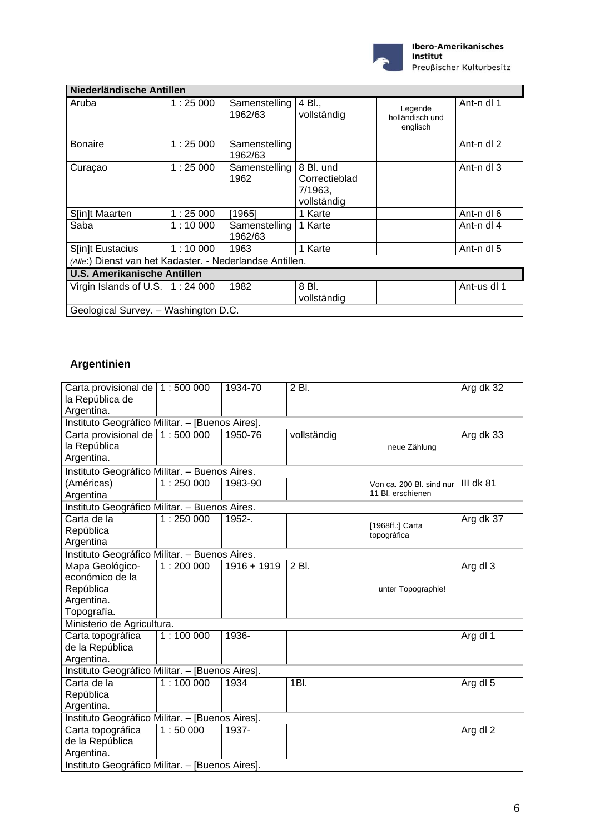

| Niederländische Antillen                                 |         |                          |                                                      |                                        |             |  |
|----------------------------------------------------------|---------|--------------------------|------------------------------------------------------|----------------------------------------|-------------|--|
|                                                          |         |                          |                                                      |                                        |             |  |
| Aruba                                                    | 1:25000 | Samenstelling<br>1962/63 | 4 Bl.,<br>vollständig                                | Legende<br>holländisch und<br>englisch | Ant-n dl 1  |  |
| <b>Bonaire</b>                                           | 1:25000 | Samenstelling<br>1962/63 |                                                      |                                        | Ant-n dl 2  |  |
| Curaçao                                                  | 1:25000 | Samenstelling<br>1962    | 8 Bl. und<br>Correctieblad<br>7/1963,<br>vollständig |                                        | Ant-n dl 3  |  |
| S[in]t Maarten                                           | 1:25000 | [1965]                   | 1 Karte                                              |                                        | Ant-n dl 6  |  |
| Saba                                                     | 1:10000 | Samenstelling<br>1962/63 | 1 Karte                                              |                                        | Ant-n dl 4  |  |
| S[in]t Eustacius                                         | 1:10000 | 1963                     | 1 Karte                                              |                                        | Ant-n dl 5  |  |
| (Alle:) Dienst van het Kadaster. - Nederlandse Antillen. |         |                          |                                                      |                                        |             |  |
| <b>U.S. Amerikanische Antillen</b>                       |         |                          |                                                      |                                        |             |  |
| Virgin Islands of U.S. $\vert$ 1 : 24 000                |         | 1982                     | 8 Bl.<br>vollständig                                 |                                        | Ant-us dl 1 |  |
| Geological Survey. - Washington D.C.                     |         |                          |                                                      |                                        |             |  |

# **Argentinien**

| Carta provisional de   1 : 500 000<br>la República de<br>Argentina.          |          | 1934-70       | 2 Bl.       |                                               | Arg dk 32             |  |  |
|------------------------------------------------------------------------------|----------|---------------|-------------|-----------------------------------------------|-----------------------|--|--|
| Instituto Geográfico Militar. - [Buenos Aires].                              |          |               |             |                                               |                       |  |  |
| Carta provisional de   1 : 500 000<br>la República<br>Argentina.             |          | 1950-76       | vollständig | neue Zählung                                  | Arg dk 33             |  |  |
| Instituto Geográfico Militar. - Buenos Aires.                                |          |               |             |                                               |                       |  |  |
| (Américas)<br>Argentina                                                      | 1:250000 | 1983-90       |             | Von ca. 200 Bl. sind nur<br>11 Bl. erschienen | <b>III dk 81</b>      |  |  |
| Instituto Geográfico Militar. - Buenos Aires.                                |          |               |             |                                               |                       |  |  |
| Carta de la<br>República<br>Argentina                                        | 1:250000 | 1952-.        |             | [1968ff.:] Carta<br>topográfica               | Arg dk 37             |  |  |
| Instituto Geográfico Militar. - Buenos Aires.                                |          |               |             |                                               |                       |  |  |
| Mapa Geológico-<br>económico de la<br>República<br>Argentina.<br>Topografía. | 1:200000 | $1916 + 1919$ | 2 Bl.       | unter Topographie!                            | Arg dl 3              |  |  |
| Ministerio de Agricultura.                                                   |          |               |             |                                               |                       |  |  |
| Carta topográfica<br>de la República<br>Argentina.                           | 1:100000 | 1936-         |             |                                               | Arg dl $\overline{1}$ |  |  |
| Instituto Geográfico Militar. - [Buenos Aires].                              |          |               |             |                                               |                       |  |  |
| Carta de la<br>República<br>Argentina.                                       | 1:100000 | 1934          | 1BI.        |                                               | Arg dl 5              |  |  |
| Instituto Geográfico Militar. - [Buenos Aires].                              |          |               |             |                                               |                       |  |  |
| Carta topográfica<br>de la República<br>Argentina.                           | 1:50000  | 1937-         |             |                                               | Arg dl 2              |  |  |
| Instituto Geográfico Militar. - [Buenos Aires].                              |          |               |             |                                               |                       |  |  |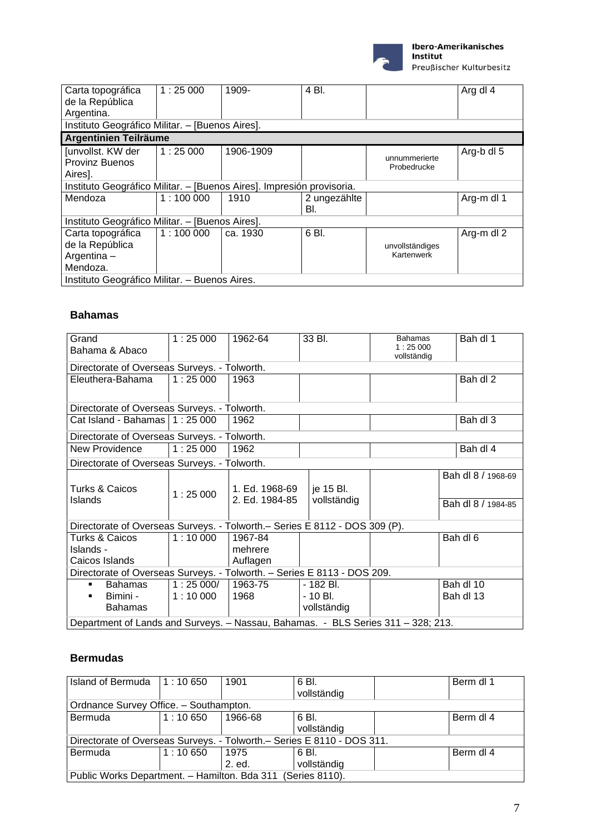

#### Ibero-Amerikanisches Institut

Preußischer Kulturbesitz

| Carta topográfica                                                     | 1:25000  | 1909-     | 4 Bl.        |                 | Arg dl 4   |  |  |
|-----------------------------------------------------------------------|----------|-----------|--------------|-----------------|------------|--|--|
| de la República                                                       |          |           |              |                 |            |  |  |
| Argentina.                                                            |          |           |              |                 |            |  |  |
| Instituto Geográfico Militar. - [Buenos Aires].                       |          |           |              |                 |            |  |  |
| Argentinien Teilräume                                                 |          |           |              |                 |            |  |  |
| Junvollst. KW der                                                     | 1:25000  | 1906-1909 |              | unnummerierte   | Arg-b dl 5 |  |  |
| <b>Provinz Buenos</b>                                                 |          |           |              | Probedrucke     |            |  |  |
| Aires].                                                               |          |           |              |                 |            |  |  |
| Instituto Geográfico Militar. - [Buenos Aires]. Impresión provisoria. |          |           |              |                 |            |  |  |
| Mendoza                                                               | 1:100000 | 1910      | 2 ungezählte |                 | Arg-m dl 1 |  |  |
|                                                                       |          |           | BI.          |                 |            |  |  |
| Instituto Geográfico Militar. - [Buenos Aires].                       |          |           |              |                 |            |  |  |
| Carta topográfica                                                     | 1:100000 | ca. 1930  | 6 BI.        |                 | Arg-m dl 2 |  |  |
| de la República                                                       |          |           |              | unvollständiges |            |  |  |
| Argentina-                                                            |          |           |              | Kartenwerk      |            |  |  |
| Mendoza.                                                              |          |           |              |                 |            |  |  |
| Instituto Geográfico Militar. - Buenos Aires.                         |          |           |              |                 |            |  |  |

#### **Bahamas**

| Grand<br>Bahama & Abaco                                                     | 1:25000                                                                          | 1962-64                          | 33 Bl.                               | <b>Bahamas</b><br>1:25000<br>vollständig | Bah dl 1                                 |  |  |
|-----------------------------------------------------------------------------|----------------------------------------------------------------------------------|----------------------------------|--------------------------------------|------------------------------------------|------------------------------------------|--|--|
| Directorate of Overseas Surveys. - Tolworth.                                |                                                                                  |                                  |                                      |                                          |                                          |  |  |
| Eleuthera-Bahama                                                            | 1:25000                                                                          | 1963                             |                                      |                                          | Bah dl 2                                 |  |  |
| Directorate of Overseas Surveys. - Tolworth.                                |                                                                                  |                                  |                                      |                                          |                                          |  |  |
| Cat Island - Bahamas $\vert$ 1 : 25 000                                     |                                                                                  | 1962                             |                                      |                                          | Bah dl 3                                 |  |  |
| Directorate of Overseas Surveys. - Tolworth.                                |                                                                                  |                                  |                                      |                                          |                                          |  |  |
| New Providence                                                              | 1:25000                                                                          | 1962                             |                                      |                                          | Bah dl 4                                 |  |  |
| Directorate of Overseas Surveys. - Tolworth.                                |                                                                                  |                                  |                                      |                                          |                                          |  |  |
| Turks & Caicos<br>Islands                                                   | 1:25000                                                                          | 1. Ed. 1968-69<br>2. Ed. 1984-85 | je 15 Bl.<br>vollständig             |                                          | Bah dl 8 / 1968-69<br>Bah dl 8 / 1984-85 |  |  |
| Directorate of Overseas Surveys. - Tolworth. - Series E 8112 - DOS 309 (P). |                                                                                  |                                  |                                      |                                          |                                          |  |  |
| <b>Turks &amp; Caicos</b><br>Islands -<br>Caicos Islands                    | 1:10000                                                                          | 1967-84<br>mehrere<br>Auflagen   |                                      |                                          | Bah dl 6                                 |  |  |
| Directorate of Overseas Surveys. - Tolworth. - Series E 8113 - DOS 209.     |                                                                                  |                                  |                                      |                                          |                                          |  |  |
| Bahamas<br>$\blacksquare$<br>Bimini -<br>٠<br><b>Bahamas</b>                | 1:25000/<br>1:10000                                                              | 1963-75<br>1968                  | - 182 Bl.<br>- 10 Bl.<br>vollständig |                                          | Bah dl 10<br>Bah dl 13                   |  |  |
|                                                                             | Department of Lands and Surveys. - Nassau, Bahamas. - BLS Series 311 - 328; 213. |                                  |                                      |                                          |                                          |  |  |

#### **Bermudas**

| Island of Bermuda $\vert$ 1 : 10 650                                    |                                        | 1901    | 6 BI.<br>vollständig |  | Berm dl 1 |  |  |  |  |
|-------------------------------------------------------------------------|----------------------------------------|---------|----------------------|--|-----------|--|--|--|--|
|                                                                         | Ordnance Survey Office. - Southampton. |         |                      |  |           |  |  |  |  |
| <b>Bermuda</b>                                                          | 1:10650                                | 1966-68 | 6 BI.                |  | Berm dl 4 |  |  |  |  |
|                                                                         |                                        |         | vollständig          |  |           |  |  |  |  |
| Directorate of Overseas Surveys. - Tolworth. - Series E 8110 - DOS 311. |                                        |         |                      |  |           |  |  |  |  |
| Bermuda                                                                 | $1:10\,650$                            | 1975    | 6 BI.                |  | Berm dl 4 |  |  |  |  |
|                                                                         |                                        | 2. ed.  | vollständig          |  |           |  |  |  |  |
| Public Works Department. - Hamilton. Bda 311 (Series 8110).             |                                        |         |                      |  |           |  |  |  |  |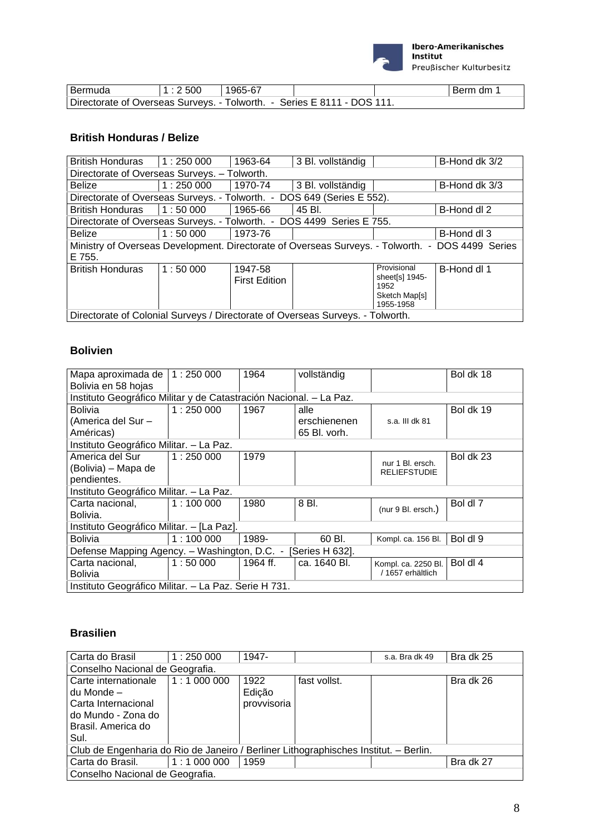

| Bermuda                                                                 | 1:2500 | 1965-67 |  | Berm dm |
|-------------------------------------------------------------------------|--------|---------|--|---------|
| Directorate of Overseas Surveys. - Tolworth. - Series E 8111 - DOS 111. |        |         |  |         |

### **British Honduras / Belize**

| <b>British Honduras</b>                                                                          | 1:250000                                                                       | 1963-64              | 3 Bl. vollständig |                        | B-Hond dk 3/2 |  |  |  |
|--------------------------------------------------------------------------------------------------|--------------------------------------------------------------------------------|----------------------|-------------------|------------------------|---------------|--|--|--|
| Directorate of Overseas Surveys. - Tolworth.                                                     |                                                                                |                      |                   |                        |               |  |  |  |
| <b>Belize</b>                                                                                    | 1:250000                                                                       | 1970-74              | 3 Bl. vollständig |                        | B-Hond dk 3/3 |  |  |  |
| Directorate of Overseas Surveys. - Tolworth. - DOS 649 (Series E 552).                           |                                                                                |                      |                   |                        |               |  |  |  |
| <b>British Honduras</b>                                                                          | 1:50000                                                                        | 1965-66              | 45 BI.            |                        | B-Hond dl 2   |  |  |  |
| Directorate of Overseas Surveys. - Tolworth. - DOS 4499 Series E 755.                            |                                                                                |                      |                   |                        |               |  |  |  |
| <b>Belize</b>                                                                                    | 1:50000                                                                        | 1973-76              |                   |                        | B-Hond dl 3   |  |  |  |
| Ministry of Overseas Development. Directorate of Overseas Surveys. - Tolworth. - DOS 4499 Series |                                                                                |                      |                   |                        |               |  |  |  |
| E 755.                                                                                           |                                                                                |                      |                   |                        |               |  |  |  |
| <b>British Honduras</b>                                                                          | 1:50000                                                                        | 1947-58              |                   | Provisional            | B-Hond dl 1   |  |  |  |
|                                                                                                  |                                                                                | <b>First Edition</b> |                   | sheet[s] 1945-<br>1952 |               |  |  |  |
|                                                                                                  |                                                                                |                      |                   | Sketch Map[s]          |               |  |  |  |
|                                                                                                  |                                                                                |                      |                   | 1955-1958              |               |  |  |  |
|                                                                                                  | Directorate of Colonial Surveys / Directorate of Overseas Surveys. - Tolworth. |                      |                   |                        |               |  |  |  |

#### **Bolivien**

| Mapa aproximada de                                                 | 1:250000 | 1964     | vollständig                  |                     | Bol dk 18 |  |  |  |  |
|--------------------------------------------------------------------|----------|----------|------------------------------|---------------------|-----------|--|--|--|--|
| Bolivia en 58 hojas                                                |          |          |                              |                     |           |  |  |  |  |
| Instituto Geográfico Militar y de Catastración Nacional. - La Paz. |          |          |                              |                     |           |  |  |  |  |
| <b>Bolivia</b>                                                     | 1:250000 | 1967     | alle                         |                     | Bol dk 19 |  |  |  |  |
| (America del Sur -                                                 |          |          | erschienenen<br>65 Bl. vorh. | s.a. III dk 81      |           |  |  |  |  |
| Américas)                                                          |          |          |                              |                     |           |  |  |  |  |
| Instituto Geográfico Militar. - La Paz.                            |          |          |                              |                     |           |  |  |  |  |
| America del Sur                                                    | 1:250000 | 1979     |                              | nur 1 Bl. ersch.    | Bol dk 23 |  |  |  |  |
| (Bolivia) – Mapa de                                                |          |          |                              | <b>RELIEFSTUDIE</b> |           |  |  |  |  |
| pendientes.                                                        |          |          |                              |                     |           |  |  |  |  |
| Instituto Geográfico Militar. - La Paz.                            |          |          |                              |                     |           |  |  |  |  |
| Carta nacional,                                                    | 1:100000 | 1980     | 8 BI.                        | (nur 9 Bl. ersch.)  | Bol dl 7  |  |  |  |  |
| Bolivia.                                                           |          |          |                              |                     |           |  |  |  |  |
| Instituto Geográfico Militar. - [La Paz].                          |          |          |                              |                     |           |  |  |  |  |
| <b>Bolivia</b>                                                     | 1:100000 | 1989-    | 60 BI.                       | Kompl. ca. 156 Bl.  | Bol dl 9  |  |  |  |  |
| Defense Mapping Agency. - Washington, D.C. -                       |          |          | [Series H 632].              |                     |           |  |  |  |  |
| Carta nacional,                                                    | 1:50000  | 1964 ff. | ca. 1640 Bl.                 | Kompl. ca. 2250 Bl. | Bol dl 4  |  |  |  |  |
| <b>Bolivia</b>                                                     |          |          |                              | 1657 erhältlich     |           |  |  |  |  |
| Instituto Geográfico Militar. - La Paz. Serie H 731.               |          |          |                              |                     |           |  |  |  |  |

#### **Brasilien**

| Carta do Brasil                                                                      | 1:250000    | 1947-       |              | s.a. Bra dk 49 | Bra dk 25 |  |  |  |
|--------------------------------------------------------------------------------------|-------------|-------------|--------------|----------------|-----------|--|--|--|
| Conselho Nacional de Geografia.                                                      |             |             |              |                |           |  |  |  |
| Carte internationale                                                                 | 1:1 000 000 | 1922        | fast vollst. |                | Bra dk 26 |  |  |  |
| du Monde –                                                                           |             | Edição      |              |                |           |  |  |  |
| Carta Internacional                                                                  |             | provvisoria |              |                |           |  |  |  |
| do Mundo - Zona do                                                                   |             |             |              |                |           |  |  |  |
| Brasil. America do                                                                   |             |             |              |                |           |  |  |  |
| Sul.                                                                                 |             |             |              |                |           |  |  |  |
| Club de Engenharia do Rio de Janeiro / Berliner Lithographisches Institut. - Berlin. |             |             |              |                |           |  |  |  |
| Carta do Brasil.                                                                     | 1:1000000   | 1959        |              |                | Bra dk 27 |  |  |  |
| Conselho Nacional de Geografia.                                                      |             |             |              |                |           |  |  |  |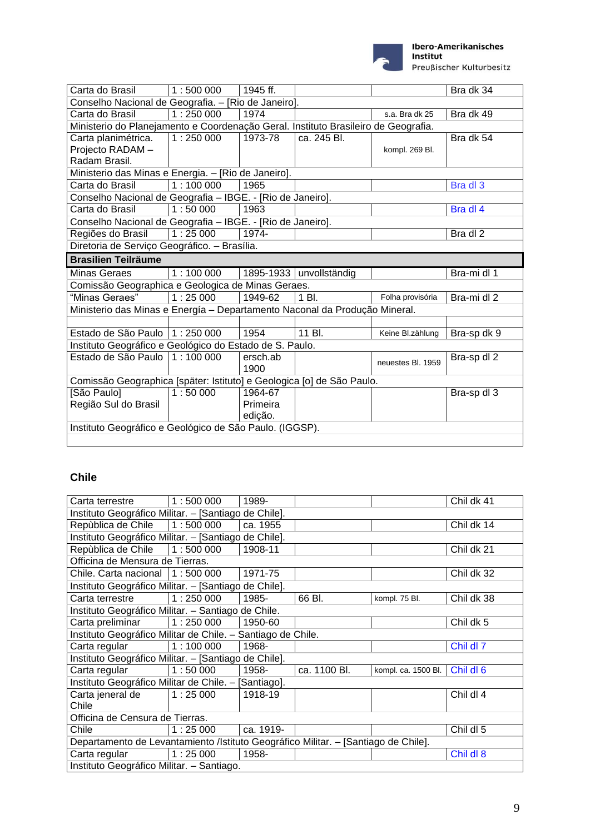

#### Ibero-Amerikanisches Institut

Preußischer Kulturbesitz

| Carta do Brasil                                                                    | 1:500000                                     | 1945 ff.         |                           |                   | Bra dk 34   |  |  |  |
|------------------------------------------------------------------------------------|----------------------------------------------|------------------|---------------------------|-------------------|-------------|--|--|--|
| Conselho Nacional de Geografia. - [Rio de Janeiro].                                |                                              |                  |                           |                   |             |  |  |  |
| Carta do Brasil                                                                    | 1:250000                                     | 1974             |                           | s.a. Bra dk 25    | Bra dk 49   |  |  |  |
| Ministerio do Planejamento e Coordenação Geral. Instituto Brasileiro de Geografia. |                                              |                  |                           |                   |             |  |  |  |
| Carta planimétrica.                                                                | 1:250000                                     | 1973-78          | ca. 245 Bl.               |                   | Bra dk 54   |  |  |  |
| Projecto RADAM-                                                                    |                                              |                  |                           | kompl. 269 Bl.    |             |  |  |  |
| Radam Brasil.                                                                      |                                              |                  |                           |                   |             |  |  |  |
| Ministerio das Minas e Energia. - [Rio de Janeiro].                                |                                              |                  |                           |                   |             |  |  |  |
| Carta do Brasil                                                                    | 1:100000                                     | 1965             |                           |                   | Bra dl 3    |  |  |  |
| Conselho Nacional de Geografia - IBGE. - [Rio de Janeiro].                         |                                              |                  |                           |                   |             |  |  |  |
| Carta do Brasil                                                                    | 1:50000                                      | 1963             |                           |                   | Bra dl 4    |  |  |  |
| Conselho Nacional de Geografia - IBGE. - [Rio de Janeiro].                         |                                              |                  |                           |                   |             |  |  |  |
| Regiões do Brasil                                                                  | 1:25000                                      | 1974-            |                           |                   | Bra dl 2    |  |  |  |
|                                                                                    | Diretoria de Serviço Geográfico. - Brasília. |                  |                           |                   |             |  |  |  |
| <b>Brasilien Teilräume</b>                                                         |                                              |                  |                           |                   |             |  |  |  |
| Minas Geraes                                                                       | 1:100000                                     |                  | 1895-1933   unvollständig |                   | Bra-mi dl 1 |  |  |  |
| Comissão Geographica e Geologica de Minas Geraes.                                  |                                              |                  |                           |                   |             |  |  |  |
| "Minas Geraes"                                                                     | 1:25000                                      | 1949-62          | 1 Bl.                     | Folha provisória  | Bra-mi dl 2 |  |  |  |
| Ministerio das Minas e Energía - Departamento Naconal da Produção Mineral.         |                                              |                  |                           |                   |             |  |  |  |
|                                                                                    |                                              |                  |                           |                   |             |  |  |  |
| Estado de São Paulo   1 : 250 000                                                  |                                              | 1954             | 11 Bl.                    | Keine Bl.zählung  | Bra-sp dk 9 |  |  |  |
| Instituto Geográfico e Geológico do Estado de S. Paulo.                            |                                              |                  |                           |                   |             |  |  |  |
| Estado de São Paulo   1 : 100 000                                                  |                                              | ersch.ab<br>1900 |                           | neuestes Bl. 1959 | Bra-sp dl 2 |  |  |  |
| Comissão Geographica [später: Istituto] e Geologica [o] de São Paulo.              |                                              |                  |                           |                   |             |  |  |  |
| [São Paulo]                                                                        | 1:50000                                      | 1964-67          |                           |                   | Bra-sp dl 3 |  |  |  |
| Região Sul do Brasil                                                               |                                              | Primeira         |                           |                   |             |  |  |  |
|                                                                                    |                                              | edição.          |                           |                   |             |  |  |  |
| Instituto Geográfico e Geológico de São Paulo. (IGGSP).                            |                                              |                  |                           |                   |             |  |  |  |
|                                                                                    |                                              |                  |                           |                   |             |  |  |  |

### **Chile**

| Carta terrestre                                                                    | 1:500000 | 1989-     |              |                     | Chil dk 41 |  |  |  |  |
|------------------------------------------------------------------------------------|----------|-----------|--------------|---------------------|------------|--|--|--|--|
| Instituto Geográfico Militar. - [Santiago de Chile].                               |          |           |              |                     |            |  |  |  |  |
| Repùblica de Chile   1:500 000                                                     |          | ca. 1955  |              |                     | Chil dk 14 |  |  |  |  |
| Instituto Geográfico Militar. - [Santiago de Chile].                               |          |           |              |                     |            |  |  |  |  |
| Repùblica de Chile   1 : 500 000                                                   |          | 1908-11   |              |                     | Chil dk 21 |  |  |  |  |
| Officina de Mensura de Tierras.                                                    |          |           |              |                     |            |  |  |  |  |
| Chile. Carta nacional   1 : 500 000                                                |          | 1971-75   |              |                     | Chil dk 32 |  |  |  |  |
| Instituto Geográfico Militar. - [Santiago de Chile].                               |          |           |              |                     |            |  |  |  |  |
| Carta terrestre                                                                    | 1:250000 | 1985-     | 66 Bl.       | kompl. 75 Bl.       | Chil dk 38 |  |  |  |  |
| Instituto Geográfico Militar. - Santiago de Chile.                                 |          |           |              |                     |            |  |  |  |  |
| Carta preliminar                                                                   | 1:250000 | 1950-60   |              |                     | Childk 5   |  |  |  |  |
| Instituto Geográfico Militar de Chile. - Santiago de Chile.                        |          |           |              |                     |            |  |  |  |  |
| Carta regular                                                                      | 1:100000 | 1968-     |              |                     | Chil dl 7  |  |  |  |  |
| Instituto Geográfico Militar. - [Santiago de Chile].                               |          |           |              |                     |            |  |  |  |  |
| Carta regular                                                                      | 1:50000  | 1958-     | ca. 1100 Bl. | kompl. ca. 1500 Bl. | Chil dl 6  |  |  |  |  |
| Instituto Geográfico Militar de Chile. - [Santiago].                               |          |           |              |                     |            |  |  |  |  |
| Carta jeneral de                                                                   | 1:25000  | 1918-19   |              |                     | Chil dl 4  |  |  |  |  |
| Chile                                                                              |          |           |              |                     |            |  |  |  |  |
| Officina de Censura de Tierras.                                                    |          |           |              |                     |            |  |  |  |  |
| Chile                                                                              | 1:25000  | ca. 1919- |              |                     | Chil dl 5  |  |  |  |  |
| Departamento de Levantamiento /Istituto Geográfico Militar. - [Santiago de Chile]. |          |           |              |                     |            |  |  |  |  |
| Carta regular                                                                      | 1:25000  | 1958-     |              |                     | Chil dl 8  |  |  |  |  |
| Instituto Geográfico Militar. - Santiago.                                          |          |           |              |                     |            |  |  |  |  |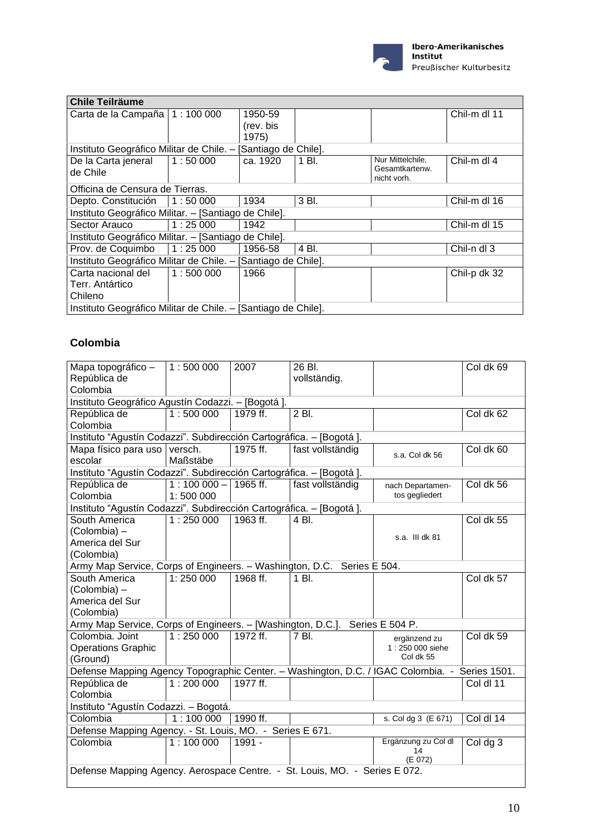

| <b>Chile Teilräume</b>                                        |          |           |       |                               |              |  |  |  |
|---------------------------------------------------------------|----------|-----------|-------|-------------------------------|--------------|--|--|--|
| Carta de la Campaña   1 : 100 000                             |          | 1950-59   |       |                               | Chil-m dl 11 |  |  |  |
|                                                               |          | (rev. bis |       |                               |              |  |  |  |
|                                                               |          | 1975)     |       |                               |              |  |  |  |
| Instituto Geográfico Militar de Chile. - [Santiago de Chile]. |          |           |       |                               |              |  |  |  |
| De la Carta jeneral                                           | 11:50000 | ca. 1920  | 1 Bl. | Nur Mittelchile,              | Chil-m dl 4  |  |  |  |
| de Chile                                                      |          |           |       | Gesamtkartenw.<br>nicht vorh. |              |  |  |  |
| Officina de Censura de Tierras.                               |          |           |       |                               |              |  |  |  |
| Depto. Constitución   1:50 000                                |          | 1934      | 3 Bl. |                               | Chil-m dl 16 |  |  |  |
| Instituto Geográfico Militar. - [Santiago de Chile].          |          |           |       |                               |              |  |  |  |
| Sector Arauco                                                 | 1:25000  | 1942      |       |                               | Chil-m dl 15 |  |  |  |
| Instituto Geográfico Militar. - [Santiago de Chile].          |          |           |       |                               |              |  |  |  |
| Prov. de Coquimbo   1:25 000                                  |          | 1956-58   | 4 Bl. |                               | Chil-n dl 3  |  |  |  |
| Instituto Geográfico Militar de Chile. - [Santiago de Chile]. |          |           |       |                               |              |  |  |  |
| Carta nacional del                                            | 1:500000 | 1966      |       |                               | Chil-p dk 32 |  |  |  |
| Terr. Antártico                                               |          |           |       |                               |              |  |  |  |
| Chileno                                                       |          |           |       |                               |              |  |  |  |
| Instituto Geográfico Militar de Chile. - [Santiago de Chile]. |          |           |       |                               |              |  |  |  |

#### **Colombia**

| Mapa topográfico -                                                                            | 1:500000              | 2007     | 26 Bl.           |                     | Col dk 69 |
|-----------------------------------------------------------------------------------------------|-----------------------|----------|------------------|---------------------|-----------|
| República de                                                                                  |                       |          | vollständig.     |                     |           |
| Colombia                                                                                      |                       |          |                  |                     |           |
| Instituto Geográfico Agustín Codazzi. - [Bogotá].                                             |                       |          |                  |                     |           |
| República de                                                                                  | 1:500000              | 1979 ff. | 2 Bl.            |                     | Col dk 62 |
| Colombia                                                                                      |                       |          |                  |                     |           |
| Instituto "Agustín Codazzi". Subdirección Cartográfica. - [Bogotá ].                          |                       |          |                  |                     |           |
| Mapa físico para uso                                                                          | versch.               | 1975 ff. | fast vollständig | s.a. Col dk 56      | Col dk 60 |
| escolar                                                                                       | Maßstäbe              |          |                  |                     |           |
| Instituto "Agustín Codazzi". Subdirección Cartográfica. - [Bogotá].                           |                       |          |                  |                     |           |
| República de                                                                                  | $1:100000 - 1965$ ff. |          | fast vollständig | nach Departamen-    | Col dk 56 |
| Colombia                                                                                      | 1:500 000             |          |                  | tos gegliedert      |           |
| Instituto "Agustín Codazzi". Subdirección Cartográfica. - [Bogotá ].                          |                       |          |                  |                     |           |
| South America                                                                                 | 1:250000              | 1963 ff. | 4 BI.            |                     | Col dk 55 |
| (Colombia) -                                                                                  |                       |          |                  | s.a. III dk 81      |           |
| America del Sur                                                                               |                       |          |                  |                     |           |
| (Colombia)                                                                                    |                       |          |                  |                     |           |
| Army Map Service, Corps of Engineers. - Washington, D.C. Series E 504.                        |                       |          |                  |                     |           |
| South America                                                                                 | 1:250 000             | 1968 ff. | 1 Bl.            |                     | Col dk 57 |
| (Colombia) -                                                                                  |                       |          |                  |                     |           |
| America del Sur                                                                               |                       |          |                  |                     |           |
| (Colombia)                                                                                    |                       |          |                  |                     |           |
| Army Map Service, Corps of Engineers. - [Washington, D.C.]. Series E 504 P.                   |                       |          |                  |                     |           |
| Colombia. Joint                                                                               | 1:250000              | 1972 ff. | 7 Bl.            | ergänzend zu        | Col dk 59 |
| <b>Operations Graphic</b>                                                                     |                       |          |                  | 1:250 000 siehe     |           |
| (Ground)                                                                                      |                       |          |                  | Col dk 55           |           |
| Defense Mapping Agency Topographic Center. - Washington, D.C. / IGAC Colombia. - Series 1501. |                       |          |                  |                     |           |
| República de                                                                                  | 1:200000              | 1977 ff. |                  |                     | Col dl 11 |
| Colombia                                                                                      |                       |          |                  |                     |           |
| Instituto "Agustín Codazzi. - Bogotá.                                                         |                       |          |                  |                     |           |
| Colombia                                                                                      | 1:100000              | 1990 ff. |                  | s. Col dg 3 (E 671) | Col dl 14 |
| Defense Mapping Agency. - St. Louis, MO. - Series E 671.                                      |                       |          |                  |                     |           |
| Colombia                                                                                      | 1:100000              | $1991 -$ |                  | Ergänzung zu Col dl | Col dg 3  |
|                                                                                               |                       |          |                  | 14<br>(E 072)       |           |
| Defense Mapping Agency. Aerospace Centre. - St. Louis, MO. - Series E 072.                    |                       |          |                  |                     |           |
|                                                                                               |                       |          |                  |                     |           |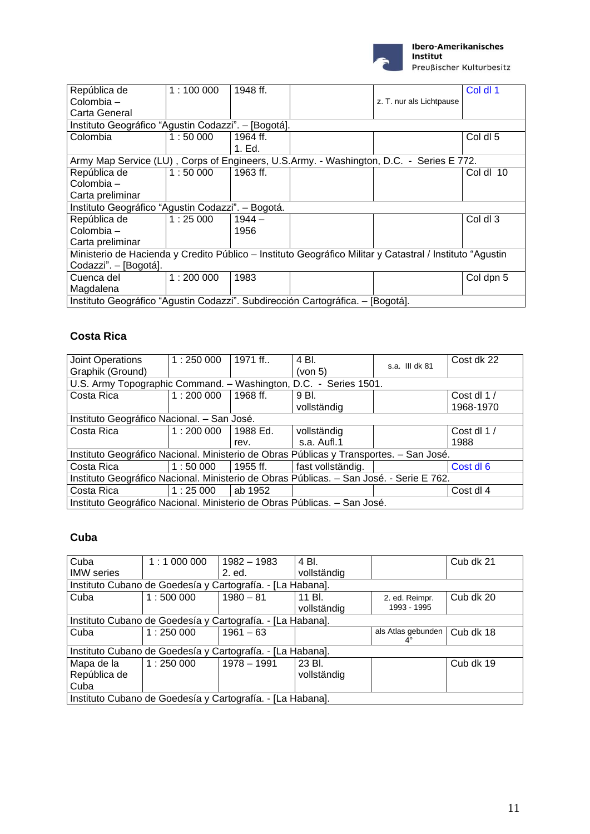

| República de                                                                                             | 1:100000 | 1948 ff. |                          | Col dl 1  |
|----------------------------------------------------------------------------------------------------------|----------|----------|--------------------------|-----------|
| Colombia -                                                                                               |          |          | z. T. nur als Lichtpause |           |
| Carta General                                                                                            |          |          |                          |           |
| Instituto Geográfico "Agustin Codazzi". - [Bogotá].                                                      |          |          |                          |           |
| Colombia                                                                                                 | 1:50000  | 1964 ff. |                          | Col dl 5  |
|                                                                                                          |          | 1. Ed.   |                          |           |
| Army Map Service (LU), Corps of Engineers, U.S.Army. - Washington, D.C. - Series E 772.                  |          |          |                          |           |
| República de                                                                                             | 1:50000  | 1963 ff. |                          | Cold 10   |
| Colombia -                                                                                               |          |          |                          |           |
| Carta preliminar                                                                                         |          |          |                          |           |
| Instituto Geográfico "Agustin Codazzi". - Bogotá.                                                        |          |          |                          |           |
| República de                                                                                             | 1:25000  | $1944 -$ |                          | Col dl 3  |
| Colombia -                                                                                               |          | 1956     |                          |           |
| Carta preliminar                                                                                         |          |          |                          |           |
| Ministerio de Hacienda y Credito Público – Instituto Geográfico Militar y Catastral / Instituto "Agustin |          |          |                          |           |
| Codazzi". - [Bogotá].                                                                                    |          |          |                          |           |
| Cuenca del                                                                                               | 1:200000 | 1983     |                          | Col dpn 5 |
| Magdalena                                                                                                |          |          |                          |           |
| Instituto Geográfico "Agustin Codazzi". Subdirección Cartográfica. - [Bogotá].                           |          |          |                          |           |

### **Costa Rica**

| Joint Operations                                                                        | 1:250000 | 1971 ff    | 4 BI.             | s.a. III dk 81 | Cost dk 22 |
|-----------------------------------------------------------------------------------------|----------|------------|-------------------|----------------|------------|
| Graphik (Ground)                                                                        |          |            | (von 5)           |                |            |
| U.S. Army Topographic Command. - Washington, D.C. - Series 1501.                        |          |            |                   |                |            |
| Costa Rica                                                                              | 1:200000 | 1968 ff.   | 9 Bl.             |                | Cost dl 1/ |
|                                                                                         |          |            | vollständig       |                | 1968-1970  |
| Instituto Geográfico Nacional. - San José.                                              |          |            |                   |                |            |
| Costa Rica                                                                              | 1:200000 | 1988 Ed.   | vollständig       |                | Cost dl 1/ |
|                                                                                         |          | rev.       | s.a. Aufl.1       |                | 1988       |
| Instituto Geográfico Nacional. Ministerio de Obras Públicas y Transportes. - San José.  |          |            |                   |                |            |
| Costa Rica                                                                              | 1:50000  | $1955$ ff. | fast vollständig. |                | Cost dl 6  |
| Instituto Geográfico Nacional. Ministerio de Obras Públicas. - San José. - Serie E 762. |          |            |                   |                |            |
| Costa Rica                                                                              | 1:25000  | ab 1952    |                   |                | Cost dl 4  |
| Instituto Geográfico Nacional. Ministerio de Obras Públicas. - San José.                |          |            |                   |                |            |

### **Cuba**

| Cuba                                                       | 1:1000000                                                  | 1982 - 1983                                                | 4 Bl.       |                                 | Cub dk 21 |  |  |  |  |
|------------------------------------------------------------|------------------------------------------------------------|------------------------------------------------------------|-------------|---------------------------------|-----------|--|--|--|--|
| <b>IMW</b> series                                          |                                                            | 2. ed.                                                     | vollständig |                                 |           |  |  |  |  |
|                                                            |                                                            | Instituto Cubano de Goedesía y Cartografía. - [La Habana]. |             |                                 |           |  |  |  |  |
| Cuba                                                       | 1:500000                                                   | $1980 - 81$                                                | 11 Bl.      | 2. ed. Reimpr.                  | Cub dk 20 |  |  |  |  |
|                                                            |                                                            |                                                            | vollständig | 1993 - 1995                     |           |  |  |  |  |
|                                                            | Instituto Cubano de Goedesía y Cartografía. - [La Habana]. |                                                            |             |                                 |           |  |  |  |  |
| Cuba                                                       | 1:250000                                                   | $1961 - 63$                                                |             | als Atlas gebunden<br>$4^\circ$ | Cub dk 18 |  |  |  |  |
| Instituto Cubano de Goedesía y Cartografía. - [La Habana]. |                                                            |                                                            |             |                                 |           |  |  |  |  |
| Mapa de la                                                 | 1:250000                                                   | 1978 - 1991                                                | 23 Bl.      |                                 | Cub dk 19 |  |  |  |  |
| República de                                               |                                                            |                                                            | vollständig |                                 |           |  |  |  |  |
| Cuba                                                       |                                                            |                                                            |             |                                 |           |  |  |  |  |
|                                                            | Instituto Cubano de Goedesía y Cartografía. - [La Habana]. |                                                            |             |                                 |           |  |  |  |  |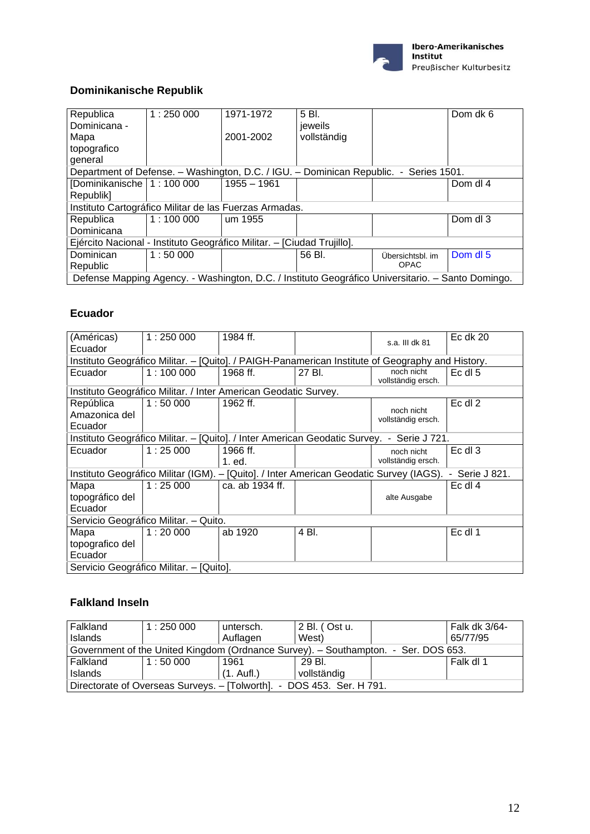

### **Dominikanische Republik**

| Republica                                                                             | 1:250000 | 1971-1972     | 5 Bl.                                                                                             |                  | Dom dk 6 |
|---------------------------------------------------------------------------------------|----------|---------------|---------------------------------------------------------------------------------------------------|------------------|----------|
| Dominicana -                                                                          |          |               | jeweils                                                                                           |                  |          |
| Mapa                                                                                  |          | 2001-2002     | vollständig                                                                                       |                  |          |
| topografico                                                                           |          |               |                                                                                                   |                  |          |
| general                                                                               |          |               |                                                                                                   |                  |          |
| Department of Defense. - Washington, D.C. / IGU. - Dominican Republic. - Series 1501. |          |               |                                                                                                   |                  |          |
| [Dominikanische   1 : 100 000                                                         |          | $1955 - 1961$ |                                                                                                   |                  | Dom dl 4 |
| Republik]                                                                             |          |               |                                                                                                   |                  |          |
| Instituto Cartográfico Militar de las Fuerzas Armadas.                                |          |               |                                                                                                   |                  |          |
| Republica                                                                             | 1:100000 | um 1955       |                                                                                                   |                  | Dom dl 3 |
| Dominicana                                                                            |          |               |                                                                                                   |                  |          |
| Ejército Nacional - Instituto Geográfico Militar. - [Ciudad Trujillo].                |          |               |                                                                                                   |                  |          |
| Dominican                                                                             | 1:50000  |               | 56 BI.                                                                                            | Übersichtsbl. im | Dom dl 5 |
| Republic                                                                              |          |               |                                                                                                   | <b>OPAC</b>      |          |
|                                                                                       |          |               | Defense Mapping Agency. - Washington, D.C. / Instituto Geográfico Universitario. - Santo Domingo. |                  |          |

#### **Ecuador**

| (Américas)<br>Ecuador                                                                     | 1:250000                                                                                         | 1984 ff.                                                        |                                                                                         | s.a. III dk 81                   | Ec dk $20$     |  |  |  |  |
|-------------------------------------------------------------------------------------------|--------------------------------------------------------------------------------------------------|-----------------------------------------------------------------|-----------------------------------------------------------------------------------------|----------------------------------|----------------|--|--|--|--|
|                                                                                           | Instituto Geográfico Militar. - [Quito]. / PAIGH-Panamerican Institute of Geography and History. |                                                                 |                                                                                         |                                  |                |  |  |  |  |
| Ecuador                                                                                   | 1:100000                                                                                         | 1968 ff.                                                        | 27 Bl.                                                                                  | noch nicht<br>vollständig ersch. | Ec dl 5        |  |  |  |  |
|                                                                                           |                                                                                                  | Instituto Geográfico Militar. / Inter American Geodatic Survey. |                                                                                         |                                  |                |  |  |  |  |
| República<br>Amazonica del<br>Ecuador                                                     | 1:50000                                                                                          | 1962 ff.                                                        |                                                                                         | noch nicht<br>vollständig ersch. | $Ec$ dl $2$    |  |  |  |  |
| Instituto Geográfico Militar. - [Quito]. / Inter American Geodatic Survey. - Serie J 721. |                                                                                                  |                                                                 |                                                                                         |                                  |                |  |  |  |  |
| Ecuador                                                                                   | 1:25000                                                                                          | 1966 ff.<br>1. ed.                                              |                                                                                         | noch nicht<br>vollständig ersch. | Ec dl 3        |  |  |  |  |
|                                                                                           |                                                                                                  |                                                                 | Instituto Geográfico Militar (IGM). – [Quito]. / Inter American Geodatic Survey (IAGS). |                                  | - Serie J 821. |  |  |  |  |
| Mapa<br>topográfico del<br>Ecuador                                                        | 1:25000                                                                                          | ca. ab 1934 ff.                                                 |                                                                                         | alte Ausgabe                     | $Ec$ dl 4      |  |  |  |  |
|                                                                                           | Servicio Geográfico Militar. - Quito.                                                            |                                                                 |                                                                                         |                                  |                |  |  |  |  |
| Mapa<br>topografico del<br>Ecuador                                                        | 1:20000                                                                                          | ab 1920                                                         | 4 Bl.                                                                                   |                                  | Ec dl 1        |  |  |  |  |
|                                                                                           | Servicio Geográfico Militar. – [Quito].                                                          |                                                                 |                                                                                         |                                  |                |  |  |  |  |

### **Falkland Inseln**

| Falkland<br><b>Islands</b>                                                         | 1:250000 | untersch.<br>Auflagen | 2 Bl. (Ost u.<br>West) |  | Falk dk 3/64-<br>65/77/95 |  |  |  |
|------------------------------------------------------------------------------------|----------|-----------------------|------------------------|--|---------------------------|--|--|--|
| Government of the United Kingdom (Ordnance Survey). - Southampton. - Ser. DOS 653. |          |                       |                        |  |                           |  |  |  |
| l Falkland                                                                         | 1:50000  | 1961                  | 29 BI.                 |  | Falk dl 1                 |  |  |  |
| <b>Islands</b>                                                                     |          | $(1. \text{ Aufl.})$  | vollständig            |  |                           |  |  |  |
| Directorate of Overseas Surveys. - [Tolworth]. - DOS 453. Ser. H 791.              |          |                       |                        |  |                           |  |  |  |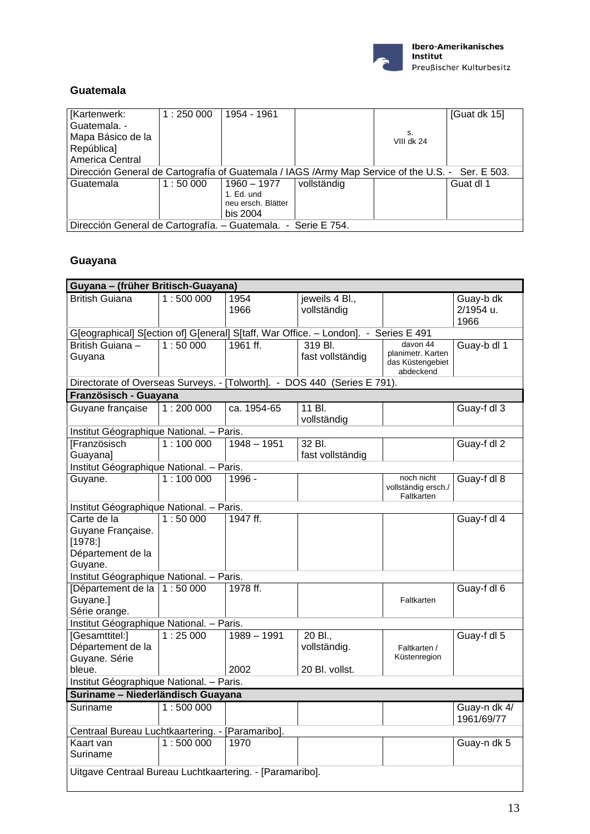

#### **Guatemala**

| Kartenwerk:<br>Guatemala. -                                                                      | 1:250000 | 1954 - 1961                                                 |             |                    | [Guat dk 15] |  |  |
|--------------------------------------------------------------------------------------------------|----------|-------------------------------------------------------------|-------------|--------------------|--------------|--|--|
| Mapa Básico de la<br>República]                                                                  |          |                                                             |             | s.<br>VIII dk $24$ |              |  |  |
| America Central                                                                                  |          |                                                             |             |                    |              |  |  |
| Dirección General de Cartografía of Guatemala / IAGS /Army Map Service of the U.S. - Ser. E 503. |          |                                                             |             |                    |              |  |  |
| Guatemala                                                                                        | 1:50000  | 1960 – 1977<br>1. Ed. und<br>neu ersch. Blätter<br>bis 2004 | vollständig |                    | Guat dl 1    |  |  |
| Dirección General de Cartografía. – Guatemala. - Serie E 754.                                    |          |                                                             |             |                    |              |  |  |

# **Guayana**

| Guyana - (früher Britisch-Guayana)                                         |                                                                                     |                       |                                           |                                                                |                                |  |  |  |  |
|----------------------------------------------------------------------------|-------------------------------------------------------------------------------------|-----------------------|-------------------------------------------|----------------------------------------------------------------|--------------------------------|--|--|--|--|
| <b>British Guiana</b>                                                      | 1:500000                                                                            | 1954<br>1966          | jeweils 4 Bl.,<br>vollständig             |                                                                | Guay-b dk<br>2/1954 u.<br>1966 |  |  |  |  |
|                                                                            | G[eographical] S[ection of] G[eneral] S[taff, War Office. - London]. - Series E 491 |                       |                                           |                                                                |                                |  |  |  |  |
| British Guiana -<br>Guyana                                                 | 1:50000                                                                             | 1961 ff.              | 319 Bl.<br>fast vollständig               | davon 44<br>planimetr. Karten<br>das Küstengebiet<br>abdeckend | Guay-b dl 1                    |  |  |  |  |
| Directorate of Overseas Surveys. - [Tolworth]. - DOS 440 (Series E 791).   |                                                                                     |                       |                                           |                                                                |                                |  |  |  |  |
| Französisch - Guayana                                                      |                                                                                     |                       |                                           |                                                                |                                |  |  |  |  |
| Guyane française                                                           | 1:200000                                                                            | ca. 1954-65           | 11 Bl.<br>vollständig                     |                                                                | Guay-f dl 3                    |  |  |  |  |
| Institut Géographique National. - Paris.                                   |                                                                                     |                       |                                           |                                                                |                                |  |  |  |  |
| [Französisch<br>Guayana]                                                   | 1:100000                                                                            | $1948 - 1951$         | 32 Bl.<br>fast vollständig                |                                                                | Guay-f dl 2                    |  |  |  |  |
| Institut Géographique National. - Paris.                                   |                                                                                     |                       |                                           |                                                                |                                |  |  |  |  |
| Guyane.                                                                    | 1:100000                                                                            | 1996 -                |                                           | noch nicht<br>vollständig ersch./<br>Faltkarten                | Guay-f dl 8                    |  |  |  |  |
| Institut Géographique National. - Paris.                                   |                                                                                     |                       |                                           |                                                                |                                |  |  |  |  |
| Carte de la<br>Guyane Française.<br>[1978]<br>Département de la<br>Guyane. | 1:50000                                                                             | 1947 ff.              |                                           |                                                                | Guay-f dl 4                    |  |  |  |  |
| Institut Géographique National. - Paris.                                   |                                                                                     |                       |                                           |                                                                |                                |  |  |  |  |
| [Département de la   1 : 50 000<br>Guyane.]<br>Série orange.               |                                                                                     | 1978 ff.              |                                           | Faltkarten                                                     | Guay-f dl 6                    |  |  |  |  |
| Institut Géographique National. - Paris.                                   |                                                                                     |                       |                                           |                                                                |                                |  |  |  |  |
| [Gesamttitel:]<br>Département de la<br>Guyane. Série<br>bleue.             | 1:25000                                                                             | $1989 - 1991$<br>2002 | 20 Bl.,<br>vollständig.<br>20 Bl. vollst. | Faltkarten /<br>Küstenregion                                   | Guay-f dl 5                    |  |  |  |  |
| Institut Géographique National. - Paris.                                   |                                                                                     |                       |                                           |                                                                |                                |  |  |  |  |
| Suriname - Niederländisch Guayana                                          |                                                                                     |                       |                                           |                                                                |                                |  |  |  |  |
| Suriname                                                                   | 1:500000                                                                            |                       |                                           |                                                                | Guay-n dk 4/<br>1961/69/77     |  |  |  |  |
| Centraal Bureau Luchtkaartering. - [Paramaribo].                           |                                                                                     |                       |                                           |                                                                |                                |  |  |  |  |
| Kaart van<br>Suriname                                                      | 1:500000                                                                            | 1970                  |                                           |                                                                | Guay-n dk 5                    |  |  |  |  |
| Uitgave Centraal Bureau Luchtkaartering. - [Paramaribo].                   |                                                                                     |                       |                                           |                                                                |                                |  |  |  |  |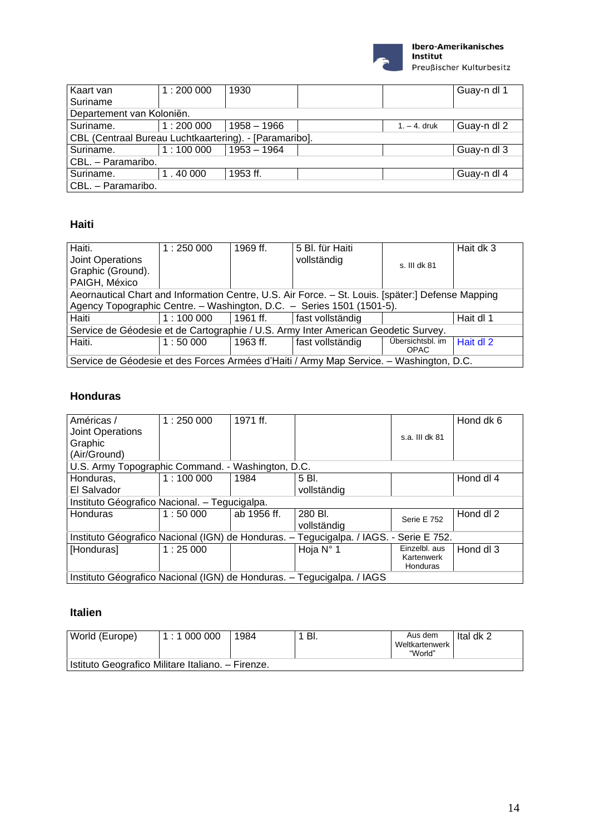

Kaart van Suriname 1 : 200 000 | 1930 | | | | | | | | | | | | | | | | | | Guay-n dl 1 Departement van Koloniën.<br>Suriname. 1:200 1 : 200 000 1958 – 1966 | 1. – 4. druk Guay-n dl 2 CBL (Centraal Bureau Luchtkaartering). - [Paramaribo]. Suriname. 1 : 100 000 1953 – 1964 Guay-n dl 3 CBL. – Paramaribo. Suriname. 1.40 000 1953 ff. The survey of the Guay-n dl 4 CBL. – Paramaribo.

#### **Haiti**

| Haiti.                                                                                            | 1:250000 | 1969 ff. | 5 Bl. für Haiti  |                  | Hait dk 3 |  |  |  |
|---------------------------------------------------------------------------------------------------|----------|----------|------------------|------------------|-----------|--|--|--|
| Joint Operations                                                                                  |          |          | vollständig      | s. III dk 81     |           |  |  |  |
| Graphic (Ground).                                                                                 |          |          |                  |                  |           |  |  |  |
| PAIGH, México                                                                                     |          |          |                  |                  |           |  |  |  |
| Aeornautical Chart and Information Centre, U.S. Air Force. - St. Louis. [später:] Defense Mapping |          |          |                  |                  |           |  |  |  |
| Agency Topographic Centre. - Washington, D.C. - Series 1501 (1501-5).                             |          |          |                  |                  |           |  |  |  |
| Haiti                                                                                             | 1:100000 | 1961 ff. | fast vollständig |                  | Hait dl 1 |  |  |  |
| Service de Géodesie et de Cartographie / U.S. Army Inter American Geodetic Survey.                |          |          |                  |                  |           |  |  |  |
| Haiti.                                                                                            | 1:50000  | 1963 ff. | fast vollständig | Übersichtsbl. im | Hait dl 2 |  |  |  |
|                                                                                                   |          |          |                  | <b>OPAC</b>      |           |  |  |  |
| Service de Géodesie et des Forces Armées d'Haiti / Army Map Service. – Washington, D.C.           |          |          |                  |                  |           |  |  |  |

#### **Honduras**

| Américas /<br>Joint Operations                    | 1:250000 | 1971 ff.    |                                                                                        |                        | Hond dk 6 |
|---------------------------------------------------|----------|-------------|----------------------------------------------------------------------------------------|------------------------|-----------|
| Graphic                                           |          |             |                                                                                        | s.a. III dk 81         |           |
| (Air/Ground)                                      |          |             |                                                                                        |                        |           |
| U.S. Army Topographic Command. - Washington, D.C. |          |             |                                                                                        |                        |           |
| Honduras,                                         | 1:100000 | 1984        | 5 Bl.                                                                                  |                        | Hond dl 4 |
| El Salvador                                       |          |             | vollständig                                                                            |                        |           |
| Instituto Géografico Nacional. - Tegucigalpa.     |          |             |                                                                                        |                        |           |
| Honduras                                          | 1:50000  | ab 1956 ff. | 280 Bl.                                                                                | Serie E 752            | Hond dl 2 |
|                                                   |          |             | vollständig                                                                            |                        |           |
|                                                   |          |             | Instituto Géografico Nacional (IGN) de Honduras. - Tegucigalpa. / IAGS. - Serie E 752. |                        |           |
| [Honduras]                                        | 1:25000  |             | Hoja N° 1                                                                              | Einzelbl. aus          | Hond dl 3 |
|                                                   |          |             |                                                                                        | Kartenwerk<br>Honduras |           |
|                                                   |          |             | Instituto Géografico Nacional (IGN) de Honduras. - Tegucigalpa. / IAGS                 |                        |           |

#### **Italien**

| World (Europe)                                    | 1:1 000 000 | 1984 | -BI. | Aus dem<br>Weltkartenwerk<br>"World" | Ital dk 2 |  |  |  |  |
|---------------------------------------------------|-------------|------|------|--------------------------------------|-----------|--|--|--|--|
| Istituto Geografico Militare Italiano. – Firenze. |             |      |      |                                      |           |  |  |  |  |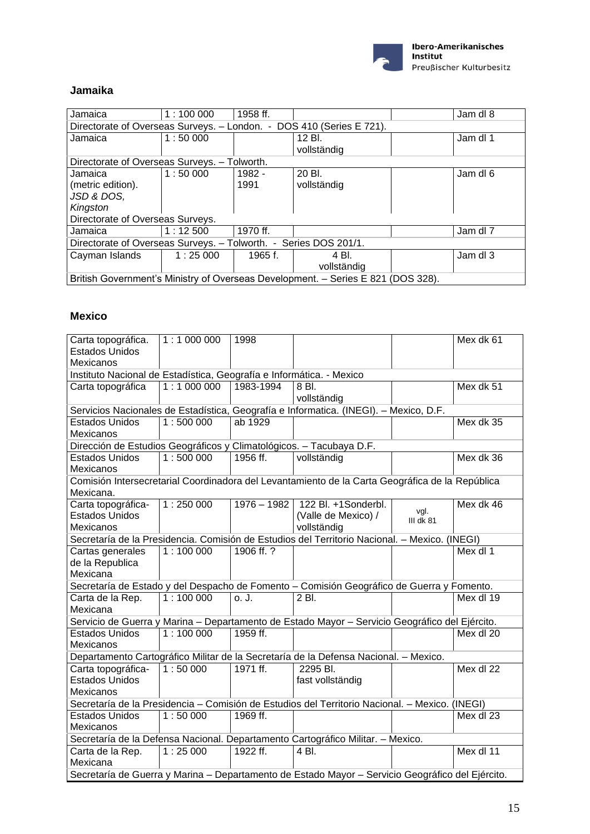

#### **Jamaika**

| Jamaica                                                              | 1:100000                                                         | 1958 ff. |                                                                                  |  | Jam dl 8 |  |  |  |  |
|----------------------------------------------------------------------|------------------------------------------------------------------|----------|----------------------------------------------------------------------------------|--|----------|--|--|--|--|
| Directorate of Overseas Surveys. - London. - DOS 410 (Series E 721). |                                                                  |          |                                                                                  |  |          |  |  |  |  |
| Jamaica                                                              | 1:50000                                                          |          | 12 Bl.                                                                           |  | Jam dl 1 |  |  |  |  |
|                                                                      |                                                                  |          | vollständig                                                                      |  |          |  |  |  |  |
| Directorate of Overseas Surveys. - Tolworth.                         |                                                                  |          |                                                                                  |  |          |  |  |  |  |
| Jamaica                                                              | 1:50000                                                          | $1982 -$ | 20 Bl.                                                                           |  | Jam dl 6 |  |  |  |  |
| (metric edition).                                                    |                                                                  | 1991     | vollständig                                                                      |  |          |  |  |  |  |
| JSD & DOS,                                                           |                                                                  |          |                                                                                  |  |          |  |  |  |  |
| Kingston                                                             |                                                                  |          |                                                                                  |  |          |  |  |  |  |
| Directorate of Overseas Surveys.                                     |                                                                  |          |                                                                                  |  |          |  |  |  |  |
| Jamaica                                                              | 1:12500                                                          | 1970 ff. |                                                                                  |  | Jam dl 7 |  |  |  |  |
|                                                                      | Directorate of Overseas Surveys. - Tolworth. - Series DOS 201/1. |          |                                                                                  |  |          |  |  |  |  |
| Cayman Islands                                                       | 1:25000                                                          | 1965 f.  | 4 BL                                                                             |  | Jam dl 3 |  |  |  |  |
|                                                                      |                                                                  |          | vollständig                                                                      |  |          |  |  |  |  |
|                                                                      |                                                                  |          | British Government's Ministry of Overseas Development. - Series E 821 (DOS 328). |  |          |  |  |  |  |

#### **Mexico**

| Carta topográfica.                                                                               | 1:1000000                                                                             | 1998       |                                                                                                 |                   | Mex dk 61 |  |  |  |  |  |
|--------------------------------------------------------------------------------------------------|---------------------------------------------------------------------------------------|------------|-------------------------------------------------------------------------------------------------|-------------------|-----------|--|--|--|--|--|
| <b>Estados Unidos</b>                                                                            |                                                                                       |            |                                                                                                 |                   |           |  |  |  |  |  |
| Mexicanos                                                                                        |                                                                                       |            |                                                                                                 |                   |           |  |  |  |  |  |
| Instituto Nacional de Estadística, Geografía e Informática. - Mexico                             |                                                                                       |            |                                                                                                 |                   |           |  |  |  |  |  |
| Carta topográfica                                                                                | 1:1000000                                                                             | 1983-1994  | 8 Bl.                                                                                           |                   | Mex dk 51 |  |  |  |  |  |
|                                                                                                  |                                                                                       |            | vollständig                                                                                     |                   |           |  |  |  |  |  |
|                                                                                                  | Servicios Nacionales de Estadística, Geografía e Informatica. (INEGI). - Mexico, D.F. |            |                                                                                                 |                   |           |  |  |  |  |  |
| <b>Estados Unidos</b>                                                                            | 1:500000                                                                              | ab 1929    |                                                                                                 |                   | Mex dk 35 |  |  |  |  |  |
| Mexicanos                                                                                        |                                                                                       |            |                                                                                                 |                   |           |  |  |  |  |  |
| Dirección de Estudios Geográficos y Climatológicos. - Tacubaya D.F.                              |                                                                                       |            |                                                                                                 |                   |           |  |  |  |  |  |
| <b>Estados Unidos</b>                                                                            | 1:500000                                                                              | 1956 ff.   | vollständig                                                                                     |                   | Mex dk 36 |  |  |  |  |  |
| Mexicanos                                                                                        |                                                                                       |            |                                                                                                 |                   |           |  |  |  |  |  |
|                                                                                                  |                                                                                       |            | Comisión Intersecretarial Coordinadora del Levantamiento de la Carta Geográfica de la República |                   |           |  |  |  |  |  |
| Mexicana.                                                                                        |                                                                                       |            |                                                                                                 |                   |           |  |  |  |  |  |
| Carta topográfica-                                                                               | 1:250000                                                                              |            | 1976 - 1982   122 Bl. +1Sonderbl.                                                               |                   | Mex dk 46 |  |  |  |  |  |
| <b>Estados Unidos</b>                                                                            |                                                                                       |            | (Valle de Mexico) /                                                                             | vgl.<br>III dk 81 |           |  |  |  |  |  |
| <b>Mexicanos</b>                                                                                 |                                                                                       |            | vollständig                                                                                     |                   |           |  |  |  |  |  |
| Secretaría de la Presidencia. Comisión de Estudios del Territorio Nacional. - Mexico. (INEGI)    |                                                                                       |            |                                                                                                 |                   |           |  |  |  |  |  |
| Cartas generales                                                                                 | 1:100000                                                                              | 1906 ff. ? |                                                                                                 |                   | Mex dl 1  |  |  |  |  |  |
| de la Republica                                                                                  |                                                                                       |            |                                                                                                 |                   |           |  |  |  |  |  |
| Mexicana                                                                                         |                                                                                       |            |                                                                                                 |                   |           |  |  |  |  |  |
|                                                                                                  |                                                                                       |            | Secretaría de Estado y del Despacho de Fomento - Comisión Geográfico de Guerra y Fomento.       |                   |           |  |  |  |  |  |
| Carta de la Rep.                                                                                 | 1:100000                                                                              | o. J.      | 2 Bl.                                                                                           |                   | Mex dl 19 |  |  |  |  |  |
| Mexicana                                                                                         |                                                                                       |            |                                                                                                 |                   |           |  |  |  |  |  |
|                                                                                                  |                                                                                       |            | Servicio de Guerra y Marina - Departamento de Estado Mayor - Servicio Geográfico del Ejército.  |                   |           |  |  |  |  |  |
| <b>Estados Unidos</b>                                                                            | 1:100000                                                                              | 1959 ff.   |                                                                                                 |                   | Mex dl 20 |  |  |  |  |  |
| Mexicanos                                                                                        |                                                                                       |            |                                                                                                 |                   |           |  |  |  |  |  |
|                                                                                                  |                                                                                       |            | Departamento Cartográfico Militar de la Secretaría de la Defensa Nacional. - Mexico.            |                   |           |  |  |  |  |  |
| Carta topográfica-                                                                               | 1:50000                                                                               | 1971 ff.   | 2295 Bl.                                                                                        |                   | Mex dl 22 |  |  |  |  |  |
| <b>Estados Unidos</b>                                                                            |                                                                                       |            | fast vollständig                                                                                |                   |           |  |  |  |  |  |
| Mexicanos                                                                                        |                                                                                       |            |                                                                                                 |                   |           |  |  |  |  |  |
|                                                                                                  |                                                                                       |            | Secretaría de la Presidencia - Comisión de Estudios del Territorio Nacional. - Mexico. (INEGI)  |                   |           |  |  |  |  |  |
| <b>Estados Unidos</b>                                                                            | 1:50000                                                                               | 1969 ff.   |                                                                                                 |                   | Mex dl 23 |  |  |  |  |  |
| Mexicanos                                                                                        |                                                                                       |            |                                                                                                 |                   |           |  |  |  |  |  |
|                                                                                                  |                                                                                       |            | Secretaría de la Defensa Nacional. Departamento Cartográfico Militar. - Mexico.                 |                   |           |  |  |  |  |  |
| Carta de la Rep.                                                                                 | 1:25000                                                                               | 1922 ff.   | $\overline{4}$ Bl.                                                                              |                   | Mex dl 11 |  |  |  |  |  |
| Mexicana                                                                                         |                                                                                       |            |                                                                                                 |                   |           |  |  |  |  |  |
| Secretaría de Guerra y Marina - Departamento de Estado Mayor - Servicio Geográfico del Ejército. |                                                                                       |            |                                                                                                 |                   |           |  |  |  |  |  |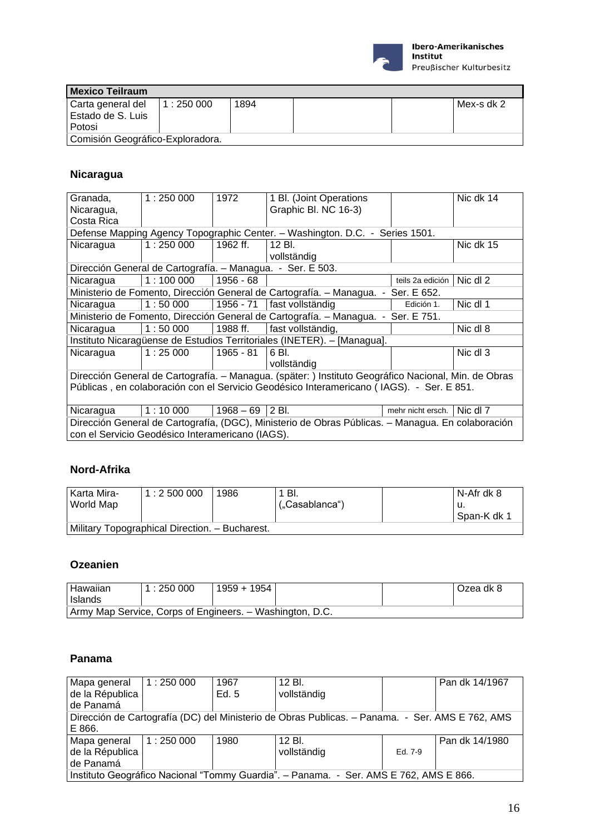

| <b>Mexico Teilraum</b>           |          |      |  |  |            |  |  |
|----------------------------------|----------|------|--|--|------------|--|--|
| Carta general del                | 1:250000 | 1894 |  |  | Mex-s dk 2 |  |  |
| Estado de S. Luis                |          |      |  |  |            |  |  |
| Potosi                           |          |      |  |  |            |  |  |
| Comisión Geográfico-Exploradora. |          |      |  |  |            |  |  |

### **Nicaragua**

| Granada,                                                                                          | 1:250000 | 1972        | 1 Bl. (Joint Operations                                                                              |                   | Nic dk 14 |  |  |  |
|---------------------------------------------------------------------------------------------------|----------|-------------|------------------------------------------------------------------------------------------------------|-------------------|-----------|--|--|--|
| Nicaragua,                                                                                        |          |             | Graphic Bl. NC 16-3)                                                                                 |                   |           |  |  |  |
| Costa Rica                                                                                        |          |             |                                                                                                      |                   |           |  |  |  |
|                                                                                                   |          |             | Defense Mapping Agency Topographic Center. - Washington. D.C. - Series 1501.                         |                   |           |  |  |  |
| Nicaragua                                                                                         | 1:250000 | 1962 ff.    | 12 Bl.                                                                                               |                   | Nic dk 15 |  |  |  |
|                                                                                                   |          |             | vollständig                                                                                          |                   |           |  |  |  |
|                                                                                                   |          |             | Dirección General de Cartografía. – Managua. - Ser. E 503.                                           |                   |           |  |  |  |
| Nicaragua                                                                                         | 1:100000 | 1956 - 68   |                                                                                                      | teils 2a edición  | Nic dl 2  |  |  |  |
| Ministerio de Fomento, Dirección General de Cartografía. - Managua. - Ser. E 652.                 |          |             |                                                                                                      |                   |           |  |  |  |
| Nicaragua                                                                                         | 1:50000  |             | 1956 - 71   fast vollständig                                                                         | Edición 1.        | Nic dl 1  |  |  |  |
|                                                                                                   |          |             | Ministerio de Fomento, Dirección General de Cartografía. – Managua. - Ser. E 751.                    |                   |           |  |  |  |
| Nicaragua                                                                                         | 1:50000  | 1988 ff.    | fast vollständig,                                                                                    |                   | Nic dl 8  |  |  |  |
|                                                                                                   |          |             | Instituto Nicaragüense de Estudios Territoriales (INETER). - [Managua].                              |                   |           |  |  |  |
| Nicaragua                                                                                         | 1:25000  | 1965 - 81   | 6 BL                                                                                                 |                   | Nic dl 3  |  |  |  |
|                                                                                                   |          |             | vollständig                                                                                          |                   |           |  |  |  |
|                                                                                                   |          |             | Dirección General de Cartografía. - Managua. (später: ) Instituto Geográfico Nacional, Min. de Obras |                   |           |  |  |  |
|                                                                                                   |          |             | Públicas, en colaboración con el Servicio Geodésico Interamericano (IAGS). - Ser. E 851.             |                   |           |  |  |  |
|                                                                                                   |          |             |                                                                                                      |                   |           |  |  |  |
| Nicaragua                                                                                         | 1:10000  | $1968 - 69$ | 2 BI.                                                                                                | mehr nicht ersch. | Nic dl 7  |  |  |  |
| Dirección General de Cartografía, (DGC), Ministerio de Obras Públicas. - Managua. En colaboración |          |             |                                                                                                      |                   |           |  |  |  |
| con el Servicio Geodésico Interamericano (IAGS).                                                  |          |             |                                                                                                      |                   |           |  |  |  |

#### **Nord-Afrika**

| l Karta Mira-<br>World Map | 1:2500000                                      | 1986 | -BI.<br>("Casablanca") |  | N-Afr dk 8<br>՝ u.<br>Span-K dk 1 |  |  |
|----------------------------|------------------------------------------------|------|------------------------|--|-----------------------------------|--|--|
|                            | Military Topographical Direction. - Bucharest. |      |                        |  |                                   |  |  |

### **Ozeanien**

| l Hawaiian<br>I Islands                                  | 1:250000 | $1959 + 1954$ |  | Ozea dk 8 |
|----------------------------------------------------------|----------|---------------|--|-----------|
| Army Map Service, Corps of Engineers. - Washington, D.C. |          |               |  |           |

#### **Panama**

| Mapa general                                                                                    | 1:250000  | 1967    | 12 Bl.      |         | Pan dk 14/1967 |  |  |  |
|-------------------------------------------------------------------------------------------------|-----------|---------|-------------|---------|----------------|--|--|--|
| de la Républica                                                                                 |           | Ed. $5$ | vollständig |         |                |  |  |  |
| de Panamá                                                                                       |           |         |             |         |                |  |  |  |
| Dirección de Cartografía (DC) del Ministerio de Obras Publicas. – Panama. - Ser. AMS E 762, AMS |           |         |             |         |                |  |  |  |
| E 866.                                                                                          |           |         |             |         |                |  |  |  |
| Mapa general                                                                                    | 11:250000 | 1980    | 12 Bl.      |         | Pan dk 14/1980 |  |  |  |
| de la Républica                                                                                 |           |         | vollständig | Ed. 7-9 |                |  |  |  |
| de Panamá                                                                                       |           |         |             |         |                |  |  |  |
| Instituto Geográfico Nacional "Tommy Guardia". - Panama. - Ser. AMS E 762, AMS E 866.           |           |         |             |         |                |  |  |  |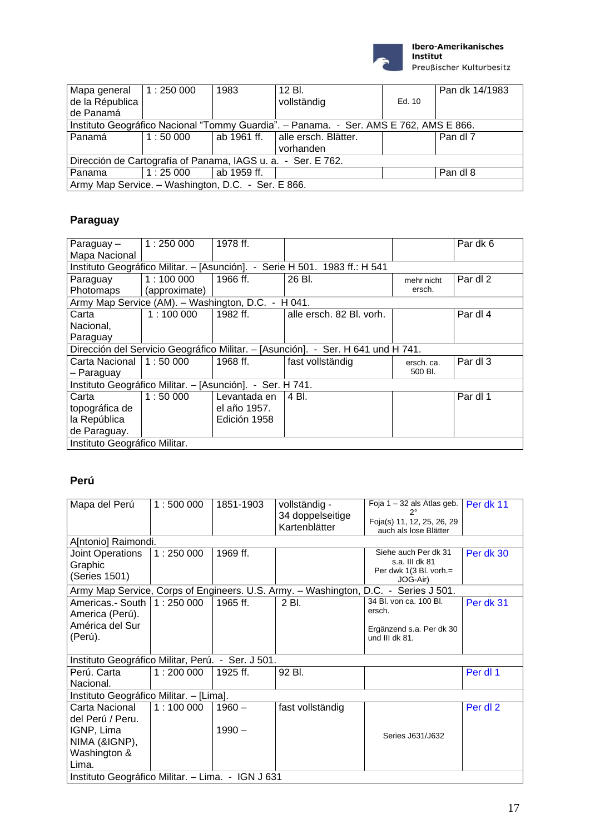

| Mapa general $\vert$ 1 : 250 000 |                                                                                       | 1983        | 12 Bl.                             |        | Pan dk 14/1983 |  |  |  |  |
|----------------------------------|---------------------------------------------------------------------------------------|-------------|------------------------------------|--------|----------------|--|--|--|--|
| de la Républica                  |                                                                                       |             | vollständig                        | Ed. 10 |                |  |  |  |  |
| de Panamá                        |                                                                                       |             |                                    |        |                |  |  |  |  |
|                                  | Instituto Geográfico Nacional "Tommy Guardia". - Panama. - Ser. AMS E 762, AMS E 866. |             |                                    |        |                |  |  |  |  |
| Panamá                           | 1:50000                                                                               |             | ab 1961 ff.   alle ersch. Blätter. |        | Pan dl 7       |  |  |  |  |
|                                  |                                                                                       |             | vorhanden                          |        |                |  |  |  |  |
|                                  | Dirección de Cartografía of Panama, IAGS u. a. - Ser. E 762.                          |             |                                    |        |                |  |  |  |  |
| Panama                           | $1:25\,000$                                                                           | ab 1959 ff. |                                    |        | Pan dl 8       |  |  |  |  |
|                                  | Army Map Service. - Washington, D.C. - Ser. E 866.                                    |             |                                    |        |                |  |  |  |  |

### **Paraguay**

| Paraguay-                                                                  | 1:250000      | 1978 ff.     |                                                                                  |            | Par dk 6 |  |  |  |
|----------------------------------------------------------------------------|---------------|--------------|----------------------------------------------------------------------------------|------------|----------|--|--|--|
| Mapa Nacional                                                              |               |              |                                                                                  |            |          |  |  |  |
| Instituto Geográfico Militar. - [Asunción]. - Serie H 501. 1983 ff.: H 541 |               |              |                                                                                  |            |          |  |  |  |
| Paraguay                                                                   | 1:100000      | 1966 ff.     | 26 Bl.                                                                           | mehr nicht | Par dl 2 |  |  |  |
| Photomaps                                                                  | (approximate) |              |                                                                                  | ersch.     |          |  |  |  |
| Army Map Service (AM). - Washington, D.C. - H 041.                         |               |              |                                                                                  |            |          |  |  |  |
| Carta                                                                      | 1:100000      | 1982 ff.     | alle ersch. 82 Bl. vorh.                                                         |            | Par dl 4 |  |  |  |
| Nacional,                                                                  |               |              |                                                                                  |            |          |  |  |  |
| Paraguay                                                                   |               |              |                                                                                  |            |          |  |  |  |
|                                                                            |               |              | Dirección del Servicio Geográfico Militar. - [Asunción]. - Ser. H 641 und H 741. |            |          |  |  |  |
| Carta Nacional $ 1:50000$                                                  |               | 1968 ff.     | fast vollständig                                                                 | ersch. ca. | Par dl 3 |  |  |  |
| - Paraguay                                                                 |               |              |                                                                                  | 500 BI.    |          |  |  |  |
| Instituto Geográfico Militar. - [Asunción]. - Ser. H 741.                  |               |              |                                                                                  |            |          |  |  |  |
| Carta                                                                      | 1:50000       | Levantada en | 4 Bl.                                                                            |            | Par dl 1 |  |  |  |
| topográfica de                                                             |               | el año 1957. |                                                                                  |            |          |  |  |  |
| la República                                                               |               | Edición 1958 |                                                                                  |            |          |  |  |  |
| de Paraguay.                                                               |               |              |                                                                                  |            |          |  |  |  |
| Instituto Geográfico Militar.                                              |               |              |                                                                                  |            |          |  |  |  |

#### **Perú**

| Mapa del Perú                                     | 1:500000 | 1851-1903 | vollständig -<br>34 doppelseitige<br>Kartenblätter | Foja 1 – 32 als Atlas geb.<br>Foja(s) 11, 12, 25, 26, 29<br>auch als lose Blätter   | Per dk 11 |
|---------------------------------------------------|----------|-----------|----------------------------------------------------|-------------------------------------------------------------------------------------|-----------|
| A[ntonio] Raimondi.                               |          |           |                                                    |                                                                                     |           |
| Joint Operations<br>Graphic<br>(Series 1501)      | 1:250000 | 1969 ff.  |                                                    | Siehe auch Per dk 31<br>s.a. III dk 81<br>Per dwk 1(3 Bl. vorh.=<br>JOG-Air)        | Per dk 30 |
|                                                   |          |           |                                                    | Army Map Service, Corps of Engineers. U.S. Army. - Washington, D.C. - Series J 501. |           |
| Americas.- South   1: 250 000<br>America (Perú).  |          | 1965 ff.  | 2 Bl.                                              | 34 Bl. von ca. 100 Bl.<br>ersch.                                                    | Per dk 31 |
| América del Sur<br>(Perú).                        |          |           |                                                    | Ergänzend s.a. Per dk 30<br>und III dk 81.                                          |           |
| Instituto Geográfico Militar, Perú. - Ser. J 501. |          |           |                                                    |                                                                                     |           |
| Perú. Carta<br>Nacional.                          | 1:200000 | 1925 ff.  | 92 Bl.                                             |                                                                                     | Per dl 1  |
| Instituto Geográfico Militar. - [Lima].           |          |           |                                                    |                                                                                     |           |
| Carta Nacional<br>del Perú / Peru.                | 1:100000 | $1960 -$  | fast vollständig                                   |                                                                                     | Per dl 2  |
| IGNP, Lima<br>NIMA (&IGNP),                       |          | $1990 -$  |                                                    | Series J631/J632                                                                    |           |
| Washington &<br>Lima.                             |          |           |                                                    |                                                                                     |           |
| Instituto Geográfico Militar. - Lima. - IGN J 631 |          |           |                                                    |                                                                                     |           |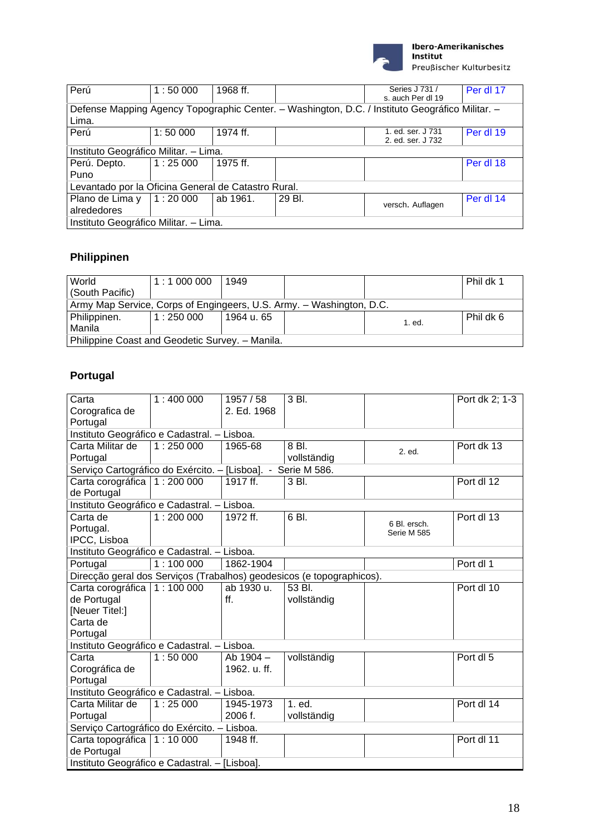

| Perú                                                                                                     | 1:50000 | 1968 ff. |        | Series J 731 /    | Per dl 17 |  |  |  |
|----------------------------------------------------------------------------------------------------------|---------|----------|--------|-------------------|-----------|--|--|--|
|                                                                                                          |         |          |        | s. auch Per dl 19 |           |  |  |  |
| Defense Mapping Agency Topographic Center. - Washington, D.C. / Instituto Geográfico Militar. -<br>Lima. |         |          |        |                   |           |  |  |  |
| Perú                                                                                                     | 1:50000 | 1974 ff. |        | 1. ed. ser. J 731 | Per dl 19 |  |  |  |
|                                                                                                          |         |          |        | 2. ed. ser. J 732 |           |  |  |  |
| Instituto Geográfico Militar. - Lima.                                                                    |         |          |        |                   |           |  |  |  |
| Perú. Depto.                                                                                             | 1:25000 | 1975 ff. |        |                   | Per dl 18 |  |  |  |
| Puno                                                                                                     |         |          |        |                   |           |  |  |  |
| Levantado por la Oficina General de Catastro Rural.                                                      |         |          |        |                   |           |  |  |  |
| Plano de Lima y                                                                                          | 1:20000 | ab 1961. | 29 BI. |                   | Per dl 14 |  |  |  |
| alrededores                                                                                              |         |          |        | versch. Auflagen  |           |  |  |  |
| Instituto Geográfico Militar. – Lima.                                                                    |         |          |        |                   |           |  |  |  |

# **Philippinen**

| World                                                                | 1:1000000 | 1949       |  |        | Phil dk 1 |  |  |  |
|----------------------------------------------------------------------|-----------|------------|--|--------|-----------|--|--|--|
| (South Pacific)                                                      |           |            |  |        |           |  |  |  |
| Army Map Service, Corps of Engingeers, U.S. Army. - Washington, D.C. |           |            |  |        |           |  |  |  |
| Philippinen.                                                         | 1:250000  | 1964 u. 65 |  | 1. ed. | Phil dk 6 |  |  |  |
| l Manila                                                             |           |            |  |        |           |  |  |  |
| Philippine Coast and Geodetic Survey. - Manila.                      |           |            |  |        |           |  |  |  |

# **Portugal**

| Carta                                                        | 1:400000 | 1957 / 58    | 3 Bl.                                                                 |              | Port dk 2; 1-3 |  |  |  |  |
|--------------------------------------------------------------|----------|--------------|-----------------------------------------------------------------------|--------------|----------------|--|--|--|--|
| Corografica de                                               |          | 2. Ed. 1968  |                                                                       |              |                |  |  |  |  |
| Portugal                                                     |          |              |                                                                       |              |                |  |  |  |  |
| Instituto Geográfico e Cadastral. - Lisboa.                  |          |              |                                                                       |              |                |  |  |  |  |
| Carta Militar de                                             | 1:250000 | 1965-68      | 8 Bl.                                                                 | 2. ed.       | Port dk 13     |  |  |  |  |
| Portugal                                                     |          |              | vollständig                                                           |              |                |  |  |  |  |
| Serviço Cartográfico do Exército. - [Lisboa]. - Serie M 586. |          |              |                                                                       |              |                |  |  |  |  |
| Carta corográfica   1 : 200 000                              |          | 1917 ff.     | 3 Bl.                                                                 |              | Port dl 12     |  |  |  |  |
| de Portugal                                                  |          |              |                                                                       |              |                |  |  |  |  |
| Instituto Geográfico e Cadastral. - Lisboa.                  |          |              |                                                                       |              |                |  |  |  |  |
| Carta de                                                     | 1:200000 | 1972 ff.     | 6 Bl.                                                                 | 6 Bl. ersch. | Port dl 13     |  |  |  |  |
| Portugal.                                                    |          |              |                                                                       | Serie M 585  |                |  |  |  |  |
| IPCC, Lisboa                                                 |          |              |                                                                       |              |                |  |  |  |  |
| Instituto Geográfico e Cadastral. - Lisboa.                  |          |              |                                                                       |              |                |  |  |  |  |
| Portugal                                                     | 1:100000 | 1862-1904    |                                                                       |              | Port dl 1      |  |  |  |  |
|                                                              |          |              | Direcção geral dos Serviços (Trabalhos) geodesicos (e topographicos). |              |                |  |  |  |  |
| Carta corográfica   1 : 100 000                              |          | ab 1930 u.   | 53 BL                                                                 |              | Port dl 10     |  |  |  |  |
| de Portugal                                                  |          | ff.          | vollständig                                                           |              |                |  |  |  |  |
| [Neuer Titel:]                                               |          |              |                                                                       |              |                |  |  |  |  |
| Carta de                                                     |          |              |                                                                       |              |                |  |  |  |  |
| Portugal                                                     |          |              |                                                                       |              |                |  |  |  |  |
| Instituto Geográfico e Cadastral. - Lisboa.                  |          |              |                                                                       |              |                |  |  |  |  |
| Carta                                                        | 1:50000  | Ab $1904 -$  | vollständig                                                           |              | Port dl 5      |  |  |  |  |
| Corográfica de                                               |          | 1962. u. ff. |                                                                       |              |                |  |  |  |  |
| Portugal                                                     |          |              |                                                                       |              |                |  |  |  |  |
| Instituto Geográfico e Cadastral. - Lisboa.                  |          |              |                                                                       |              |                |  |  |  |  |
| Carta Militar de                                             | 1:25000  | 1945-1973    | 1. ed.                                                                |              | Port dl 14     |  |  |  |  |
| Portugal                                                     |          | 2006 f.      | vollständig                                                           |              |                |  |  |  |  |
| Serviço Cartográfico do Exército. - Lisboa.                  |          |              |                                                                       |              |                |  |  |  |  |
| Carta topográfica 1:10 000                                   |          | 1948 ff.     |                                                                       |              | Port dl 11     |  |  |  |  |
| de Portugal                                                  |          |              |                                                                       |              |                |  |  |  |  |
| Instituto Geográfico e Cadastral. - [Lisboa].                |          |              |                                                                       |              |                |  |  |  |  |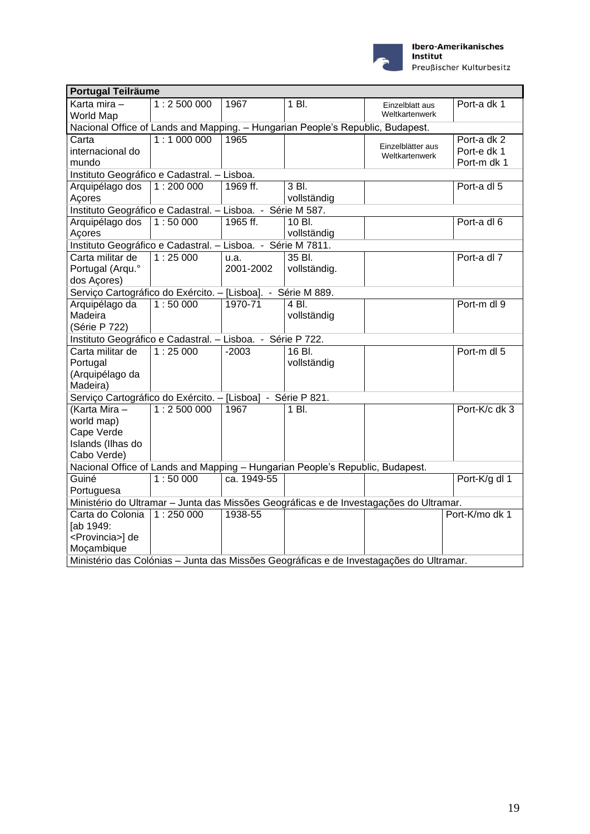

| <b>Portugal Teilräume</b>                                                      |           |             |              |                                                                                         |                |  |  |
|--------------------------------------------------------------------------------|-----------|-------------|--------------|-----------------------------------------------------------------------------------------|----------------|--|--|
| Karta mira -<br>World Map                                                      | 1:2500000 | 1967        | 1 Bl.        | Einzelblatt aus<br>Weltkartenwerk                                                       | Port-a dk 1    |  |  |
| Nacional Office of Lands and Mapping. - Hungarian People's Republic, Budapest. |           |             |              |                                                                                         |                |  |  |
| Carta                                                                          | 1:1000000 | 1965        |              |                                                                                         | Port-a dk 2    |  |  |
| internacional do                                                               |           |             |              | Einzelblätter aus<br>Weltkartenwerk                                                     | Port-e dk 1    |  |  |
| mundo                                                                          |           |             |              |                                                                                         | Port-m dk 1    |  |  |
| Instituto Geográfico e Cadastral. - Lisboa.                                    |           |             |              |                                                                                         |                |  |  |
| Arquipélago dos                                                                | 1:200000  | 1969 ff.    | 3 Bl.        |                                                                                         | Port-a dl 5    |  |  |
| Açores                                                                         |           |             | vollständig  |                                                                                         |                |  |  |
| Instituto Geográfico e Cadastral. - Lisboa. - Série M 587.                     |           |             |              |                                                                                         |                |  |  |
| Arquipélago dos                                                                | 1:50000   | 1965 ff.    | 10 Bl.       |                                                                                         | Port-a dl 6    |  |  |
| Açores                                                                         |           |             | vollständig  |                                                                                         |                |  |  |
| Instituto Geográfico e Cadastral. - Lisboa. - Série M 7811.                    |           |             |              |                                                                                         |                |  |  |
| Carta militar de                                                               | 1:25000   | u.a.        | 35 Bl.       |                                                                                         | Port-a dl 7    |  |  |
| Portugal (Arqu.º                                                               |           | 2001-2002   | vollständig. |                                                                                         |                |  |  |
| dos Açores)                                                                    |           |             |              |                                                                                         |                |  |  |
| Serviço Cartográfico do Exército. - [Lisboa]. - Série M 889.                   |           |             |              |                                                                                         |                |  |  |
| Arquipélago da                                                                 | 1:50000   | 1970-71     | 4 Bl.        |                                                                                         | Port-m dl 9    |  |  |
| Madeira                                                                        |           |             | vollständig  |                                                                                         |                |  |  |
| (Série P 722)                                                                  |           |             |              |                                                                                         |                |  |  |
| Instituto Geográfico e Cadastral. - Lisboa. - Série P 722.                     |           |             |              |                                                                                         |                |  |  |
| Carta militar de                                                               | 1:25000   | $-2003$     | 16 Bl.       |                                                                                         | Port-m dl 5    |  |  |
| Portugal                                                                       |           |             | vollständig  |                                                                                         |                |  |  |
| (Arquipélago da                                                                |           |             |              |                                                                                         |                |  |  |
| Madeira)                                                                       |           |             |              |                                                                                         |                |  |  |
| Serviço Cartográfico do Exército. - [Lisboa] - Série P 821.                    |           |             |              |                                                                                         |                |  |  |
| (Karta Mira -                                                                  | 1:2500000 | 1967        | 1 Bl.        |                                                                                         | Port-K/c dk 3  |  |  |
| world map)                                                                     |           |             |              |                                                                                         |                |  |  |
| Cape Verde                                                                     |           |             |              |                                                                                         |                |  |  |
| Islands (Ilhas do                                                              |           |             |              |                                                                                         |                |  |  |
| Cabo Verde)                                                                    |           |             |              |                                                                                         |                |  |  |
| Nacional Office of Lands and Mapping - Hungarian People's Republic, Budapest.  |           |             |              |                                                                                         |                |  |  |
| Guiné                                                                          | 1:50000   | ca. 1949-55 |              |                                                                                         | Port-K/g dl 1  |  |  |
| Portuguesa                                                                     |           |             |              |                                                                                         |                |  |  |
|                                                                                |           |             |              | Ministério do Ultramar - Junta das Missões Geográficas e de Investagações do Ultramar.  |                |  |  |
| Carta do Colonia                                                               | 1:250000  | 1938-55     |              |                                                                                         | Port-K/mo dk 1 |  |  |
| [ab 1949:                                                                      |           |             |              |                                                                                         |                |  |  |
| <provincia>] de</provincia>                                                    |           |             |              |                                                                                         |                |  |  |
| Moçambique                                                                     |           |             |              |                                                                                         |                |  |  |
|                                                                                |           |             |              | Ministério das Colónias - Junta das Missões Geográficas e de Investagações do Ultramar. |                |  |  |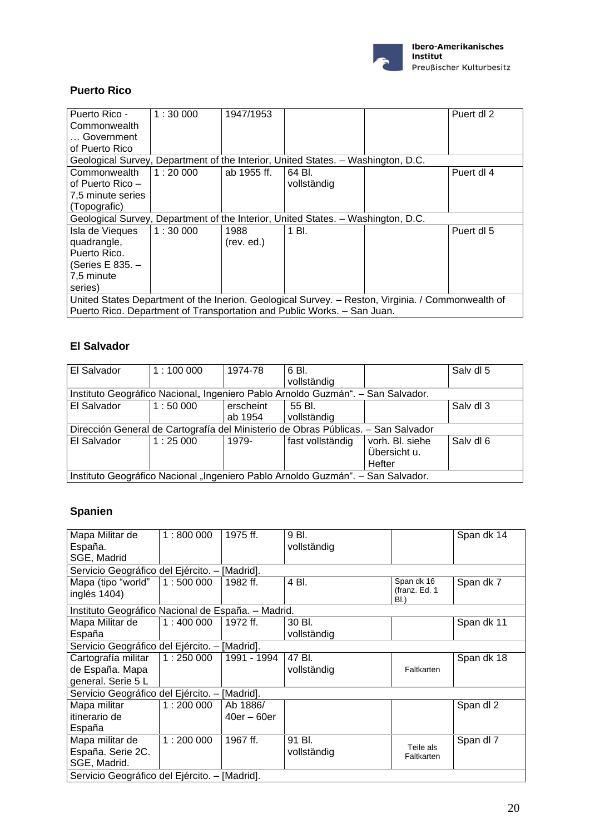

### **Puerto Rico**

| Puerto Rico -                                                                                     | 1:30000 | 1947/1953   |             |  | Puert dl 2 |  |  |
|---------------------------------------------------------------------------------------------------|---------|-------------|-------------|--|------------|--|--|
| Commonwealth                                                                                      |         |             |             |  |            |  |  |
| Government                                                                                        |         |             |             |  |            |  |  |
| of Puerto Rico                                                                                    |         |             |             |  |            |  |  |
| Geological Survey, Department of the Interior, United States. - Washington, D.C.                  |         |             |             |  |            |  |  |
| Commonwealth                                                                                      | 1:20000 | ab 1955 ff. | 64 BI.      |  | Puert dl 4 |  |  |
| of Puerto Rico -                                                                                  |         |             | vollständig |  |            |  |  |
| 7,5 minute series                                                                                 |         |             |             |  |            |  |  |
| (Topografic)                                                                                      |         |             |             |  |            |  |  |
| Geological Survey, Department of the Interior, United States. - Washington, D.C.                  |         |             |             |  |            |  |  |
| Isla de Vieques                                                                                   | 1:30000 | 1988        | 1 Bl.       |  | Puert dl 5 |  |  |
| quadrangle,                                                                                       |         | (rev. ed.)  |             |  |            |  |  |
| Puerto Rico.                                                                                      |         |             |             |  |            |  |  |
| (Series E 835. -                                                                                  |         |             |             |  |            |  |  |
| 7,5 minute                                                                                        |         |             |             |  |            |  |  |
| series)                                                                                           |         |             |             |  |            |  |  |
| United States Department of the Inerion. Geological Survey. - Reston, Virginia. / Commonwealth of |         |             |             |  |            |  |  |
| Puerto Rico. Department of Transportation and Public Works. - San Juan.                           |         |             |             |  |            |  |  |

#### **El Salvador**

| El Salvador                                                                     | 1:100000                                                                          | 1974-78   | 6 Bl.            |                 | Salv dl 5 |
|---------------------------------------------------------------------------------|-----------------------------------------------------------------------------------|-----------|------------------|-----------------|-----------|
|                                                                                 |                                                                                   |           | vollständig      |                 |           |
| Instituto Geográfico Nacional, Ingeniero Pablo Arnoldo Guzmán". – San Salvador. |                                                                                   |           |                  |                 |           |
| El Salvador                                                                     | 1:50000                                                                           | erscheint | 55 Bl.           |                 | Salv dl 3 |
|                                                                                 |                                                                                   | ab 1954   | vollständig      |                 |           |
|                                                                                 | Dirección General de Cartografía del Ministerio de Obras Públicas. - San Salvador |           |                  |                 |           |
| El Salvador                                                                     | 1:25000                                                                           | 1979-     | fast vollständig | vorh. Bl. siehe | Salv dl 6 |
|                                                                                 |                                                                                   |           |                  | Übersicht u.    |           |
|                                                                                 |                                                                                   |           |                  | Hefter          |           |
| Instituto Geográfico Nacional "Ingeniero Pablo Arnoldo Guzmán". – San Salvador. |                                                                                   |           |                  |                 |           |

# **Spanien**

| Mapa Militar de                                    | 1:800000 | 1975 ff.      | 9 Bl.       |                         | Span dk 14 |
|----------------------------------------------------|----------|---------------|-------------|-------------------------|------------|
| España.                                            |          |               | vollständig |                         |            |
| SGE, Madrid                                        |          |               |             |                         |            |
| Servicio Geográfico del Ejército. - [Madrid].      |          |               |             |                         |            |
| Mapa (tipo "world"                                 | 1:500000 | 1982 ff.      | 4 Bl.       | Span dk 16              | Span dk 7  |
| inglés 1404)                                       |          |               |             | (franz. Ed. 1<br>BI.)   |            |
| Instituto Geográfico Nacional de España. - Madrid. |          |               |             |                         |            |
| Mapa Militar de                                    | 1:400000 | 1972 ff.      | 30 Bl.      |                         | Span dk 11 |
| España                                             |          |               | vollständig |                         |            |
| Servicio Geográfico del Ejército. - [Madrid].      |          |               |             |                         |            |
| Cartografía militar                                | 1:250000 | 1991 - 1994   | 47 Bl.      |                         | Span dk 18 |
| de España. Mapa                                    |          |               | vollständig | Faltkarten              |            |
| general. Serie 5 L                                 |          |               |             |                         |            |
| Servicio Geográfico del Ejército. - [Madrid].      |          |               |             |                         |            |
| Mapa militar                                       | 1:200000 | Ab 1886/      |             |                         | Span dl 2  |
| itinerario de                                      |          | $40er - 60er$ |             |                         |            |
| España                                             |          |               |             |                         |            |
| Mapa militar de                                    | 1:200000 | 1967 ff.      | 91 Bl.      |                         | Span dl 7  |
| España. Serie 2C.                                  |          |               | vollständig | Teile als<br>Faltkarten |            |
| SGE, Madrid.                                       |          |               |             |                         |            |
| Servicio Geográfico del Ejército. – [Madrid].      |          |               |             |                         |            |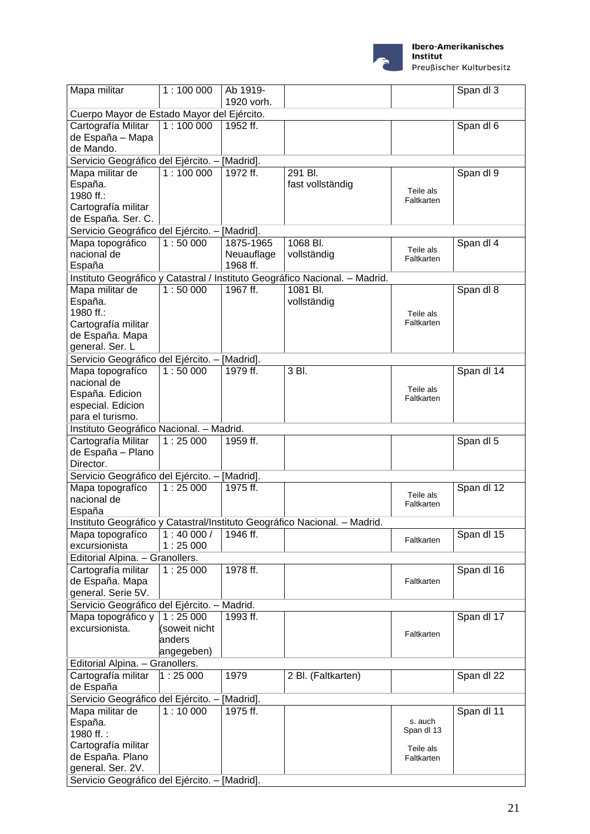

Preußischer Kulturbesitz

| Mapa militar                                  | 1:100000                                      | Ab 1919-   |                                                                             |                         | Span dl 3  |
|-----------------------------------------------|-----------------------------------------------|------------|-----------------------------------------------------------------------------|-------------------------|------------|
|                                               |                                               | 1920 vorh. |                                                                             |                         |            |
| Cuerpo Mayor de Estado Mayor del Ejército.    |                                               |            |                                                                             |                         |            |
| Cartografía Militar                           | 1:100000                                      | 1952 ff.   |                                                                             |                         | Span dl 6  |
| de España - Mapa                              |                                               |            |                                                                             |                         |            |
| de Mando.                                     |                                               |            |                                                                             |                         |            |
| Servicio Geográfico del Ejército. - [Madrid]. |                                               |            |                                                                             |                         |            |
| Mapa militar de                               | 1:100000                                      | 1972 ff.   | 291 Bl.                                                                     |                         | Span dl 9  |
| España.                                       |                                               |            | fast vollständig                                                            | Teile als               |            |
| 1980 ff.:                                     |                                               |            |                                                                             | Faltkarten              |            |
| Cartografía militar                           |                                               |            |                                                                             |                         |            |
| de España. Ser. C.                            |                                               |            |                                                                             |                         |            |
| Servicio Geográfico del Ejército. - [Madrid]. |                                               |            |                                                                             |                         |            |
| Mapa topográfico                              | 1:50000                                       | 1875-1965  | 1068 Bl.                                                                    | Teile als               | Span dl 4  |
| nacional de                                   |                                               | Neuauflage | vollständig                                                                 | Faltkarten              |            |
| España                                        |                                               | 1968 ff.   |                                                                             |                         |            |
|                                               |                                               |            | Instituto Geográfico y Catastral / Instituto Geográfico Nacional. - Madrid. |                         |            |
| Mapa militar de                               | 1:50000                                       | 1967 ff.   | 1081 Bl.                                                                    |                         | Span dl 8  |
| España.                                       |                                               |            | vollständig                                                                 |                         |            |
| 1980 ff.:                                     |                                               |            |                                                                             | Teile als               |            |
| Cartografía militar                           |                                               |            |                                                                             | Faltkarten              |            |
| de España. Mapa                               |                                               |            |                                                                             |                         |            |
| general. Ser. L                               |                                               |            |                                                                             |                         |            |
| Servicio Geográfico del Ejército. - [Madrid]. |                                               |            |                                                                             |                         |            |
| Mapa topografíco                              | 1:50000                                       | 1979 ff.   | 3 Bl.                                                                       |                         | Span dl 14 |
| nacional de                                   |                                               |            |                                                                             | Teile als               |            |
| España. Edicion                               |                                               |            |                                                                             | Faltkarten              |            |
| especial. Edicion                             |                                               |            |                                                                             |                         |            |
| para el turismo.                              |                                               |            |                                                                             |                         |            |
| Instituto Geográfico Nacional. - Madrid.      |                                               |            |                                                                             |                         |            |
| Cartografía Militar                           | 1:25000                                       | 1959 ff.   |                                                                             |                         | Span dl 5  |
| de España - Plano                             |                                               |            |                                                                             |                         |            |
| Director.                                     |                                               |            |                                                                             |                         |            |
| Servicio Geográfico del Ejército. - [Madrid]. |                                               |            |                                                                             |                         |            |
| Mapa topografíco<br>nacional de               | 1:25000                                       | 1975 ff.   |                                                                             | Teile als               | Span dl 12 |
|                                               |                                               |            |                                                                             | Faltkarten              |            |
| España                                        |                                               |            | Instituto Geográfico y Catastral/Instituto Geográfico Nacional. - Madrid.   |                         |            |
| Mapa topografíco                              | 1:40000/                                      | 1946 ff.   |                                                                             |                         | Span dl 15 |
| excursionista                                 | 1:25000                                       |            |                                                                             | Faltkarten              |            |
| Editorial Alpina. - Granollers.               |                                               |            |                                                                             |                         |            |
| Cartografía militar                           | 1:25000                                       | 1978 ff.   |                                                                             |                         | Span dl 16 |
| de España. Mapa                               |                                               |            |                                                                             | Faltkarten              |            |
| general. Serie 5V.                            |                                               |            |                                                                             |                         |            |
| Servicio Geográfico del Ejército. - Madrid.   |                                               |            |                                                                             |                         |            |
| Mapa topográfico y                            | 1:25000                                       | 1993 ff.   |                                                                             |                         | Span dl 17 |
| excursionista.                                | (soweit nicht                                 |            |                                                                             |                         |            |
|                                               | anders                                        |            |                                                                             | Faltkarten              |            |
|                                               | angegeben)                                    |            |                                                                             |                         |            |
| Editorial Alpina. - Granollers.               |                                               |            |                                                                             |                         |            |
| Cartografía militar                           | 1:25000                                       | 1979       | 2 Bl. (Faltkarten)                                                          |                         | Span dl 22 |
| de España                                     |                                               |            |                                                                             |                         |            |
| Servicio Geográfico del Ejército. - [Madrid]. |                                               |            |                                                                             |                         |            |
| Mapa militar de                               | 1:10000                                       | 1975 ff.   |                                                                             |                         | Span dl 11 |
| España.                                       |                                               |            |                                                                             | s. auch                 |            |
| 1980 ff.:                                     |                                               |            |                                                                             | Span dl 13              |            |
| Cartografía militar                           |                                               |            |                                                                             |                         |            |
| de España. Plano                              |                                               |            |                                                                             | Teile als<br>Faltkarten |            |
| general. Ser. 2V.                             |                                               |            |                                                                             |                         |            |
|                                               | Servicio Geográfico del Ejército. - [Madrid]. |            |                                                                             |                         |            |
|                                               |                                               |            |                                                                             |                         |            |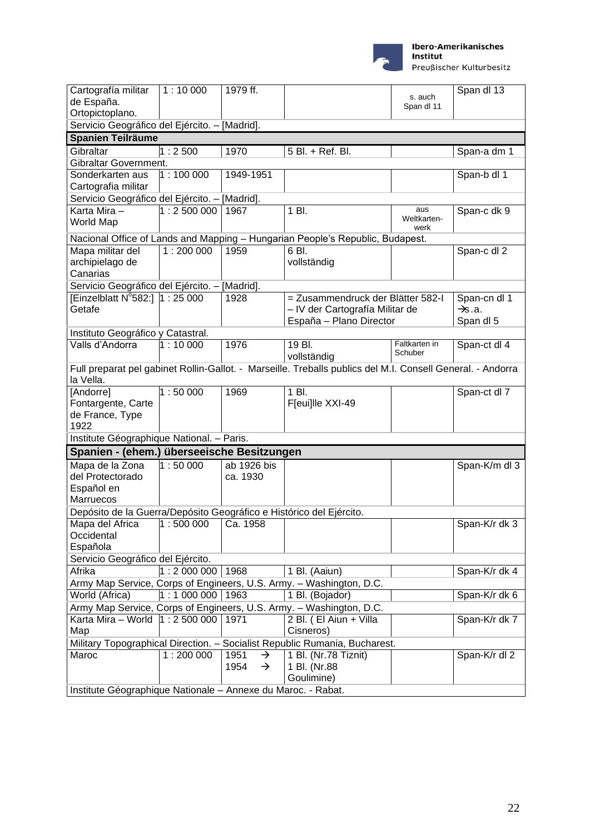

Ibero-Amerikanisches<br>Institut Preußischer Kulturbesitz

| Cartografía militar<br>de España.                                                                                       | 1:10000                | 1979 ff.                                       |                                                                                                 | s. auch<br>Span dl 11      | Span dl 13                                      |
|-------------------------------------------------------------------------------------------------------------------------|------------------------|------------------------------------------------|-------------------------------------------------------------------------------------------------|----------------------------|-------------------------------------------------|
| Ortopictoplano.                                                                                                         |                        |                                                |                                                                                                 |                            |                                                 |
| Servicio Geográfico del Ejército. - [Madrid].                                                                           |                        |                                                |                                                                                                 |                            |                                                 |
| Spanien Teilräume                                                                                                       |                        |                                                |                                                                                                 |                            |                                                 |
| Gibraltar                                                                                                               | 1:2500                 | 1970                                           | 5 Bl. + Ref. Bl.                                                                                |                            | Span-a dm 1                                     |
| Gibraltar Government.                                                                                                   |                        |                                                |                                                                                                 |                            |                                                 |
| Sonderkarten aus<br>Cartografia militar                                                                                 | 1:100000               | 1949-1951                                      |                                                                                                 |                            | Span-b dl 1                                     |
| Servicio Geográfico del Ejército. - [Madrid].                                                                           |                        |                                                |                                                                                                 |                            |                                                 |
| Karta Mira -<br>World Map                                                                                               | $\sqrt{1}$ : 2 500 000 | 1967                                           | 1 Bl.                                                                                           | aus<br>Weltkarten-<br>werk | Span-c dk 9                                     |
|                                                                                                                         |                        |                                                | Nacional Office of Lands and Mapping - Hungarian People's Republic, Budapest.                   |                            |                                                 |
| Mapa militar del<br>archipielago de<br>Canarias                                                                         | 1:200000               | 1959                                           | 6 BI.<br>vollständig                                                                            |                            | Span-c dl 2                                     |
| Servicio Geográfico del Ejército. - [Madrid].                                                                           |                        |                                                |                                                                                                 |                            |                                                 |
| [Einzelblatt $N^{\circ}$ 582:] 1 : 25 000<br>Getafe                                                                     |                        | 1928                                           | = Zusammendruck der Blätter 582-l<br>- IV der Cartografía Militar de<br>España - Plano Director |                            | Span-cn dl 1<br>$\rightarrow$ s.a.<br>Span dl 5 |
| Instituto Geográfico y Catastral.                                                                                       |                        |                                                |                                                                                                 |                            |                                                 |
| Valls d'Andorra                                                                                                         | 1:10000                | 1976                                           | 19 Bl.<br>vollständig                                                                           | Faltkarten in<br>Schuber   | Span-ct dl 4                                    |
| Full preparat pel gabinet Rollin-Gallot. - Marseille. Treballs publics del M.I. Consell General. - Andorra<br>la Vella. |                        |                                                |                                                                                                 |                            |                                                 |
| [Andorre]<br>Fontargente, Carte<br>de France, Type<br>1922                                                              | 1:50000                | 1969                                           | 1 Bl.<br>F[eui]lle XXI-49                                                                       |                            | Span-ct dl 7                                    |
| Institute Géographique National. - Paris.                                                                               |                        |                                                |                                                                                                 |                            |                                                 |
| Spanien - (ehem.) überseeische Besitzungen                                                                              |                        |                                                |                                                                                                 |                            |                                                 |
| Mapa de la Zona<br>del Protectorado<br>Español en<br>Marruecos                                                          | 1:50000                | ab 1926 bis<br>ca. 1930                        |                                                                                                 |                            | Span-K/m dl 3                                   |
| Depósito de la Guerra/Depósito Geográfico e Histórico del Ejército.                                                     |                        |                                                |                                                                                                 |                            |                                                 |
| Mapa del Africa   1:500 000   Ca. 1958<br>Occidental<br>Española                                                        |                        |                                                |                                                                                                 |                            | Span-K/r dk 3                                   |
| Servicio Geográfico del Ejército.                                                                                       |                        |                                                |                                                                                                 |                            |                                                 |
| Afrika                                                                                                                  | $1:2000000$   1968     |                                                | 1 Bl. (Aaiun)                                                                                   |                            | Span-K/r dk 4                                   |
|                                                                                                                         |                        |                                                | Army Map Service, Corps of Engineers, U.S. Army. - Washington, D.C.                             |                            |                                                 |
| World (Africa)                                                                                                          | $1:1000000$ 1963       |                                                | 1 Bl. (Bojador)                                                                                 |                            | Span-K/r dk 6                                   |
|                                                                                                                         |                        |                                                | Army Map Service, Corps of Engineers, U.S. Army. - Washington, D.C.                             |                            |                                                 |
| Karta Mira - World  1 : 2 500 000   1971<br>Map                                                                         |                        |                                                | 2 Bl. (El Aiun + Villa<br>Cisneros)                                                             |                            | Span-K/r dk 7                                   |
|                                                                                                                         |                        |                                                | Military Topographical Direction. - Socialist Republic Rumania, Bucharest.                      |                            |                                                 |
| Maroc                                                                                                                   | 1:200000               | 1951<br>$\rightarrow$<br>$\rightarrow$<br>1954 | 1 Bl. (Nr.78 Tiznit)<br>1 Bl. (Nr.88<br>Goulimine)                                              |                            | Span-K/r dl 2                                   |
| Institute Géographique Nationale - Annexe du Maroc. - Rabat.                                                            |                        |                                                |                                                                                                 |                            |                                                 |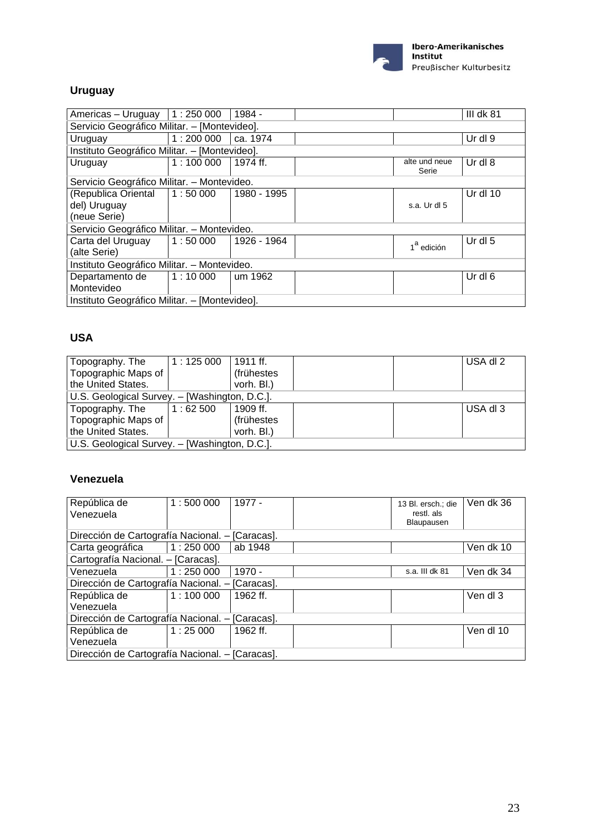

### **Uruguay**

| Americas – Uruguay   1 : 250 000              |                                              | 1984 -      |  |                        | III dk $81$ |  |  |
|-----------------------------------------------|----------------------------------------------|-------------|--|------------------------|-------------|--|--|
|                                               |                                              |             |  |                        |             |  |  |
|                                               | Servicio Geográfico Militar. - [Montevideo]. |             |  |                        |             |  |  |
| Uruguay                                       | 1:200000                                     | ca. 1974    |  |                        | Ur dl 9     |  |  |
| Instituto Geográfico Militar. - [Montevideo]. |                                              |             |  |                        |             |  |  |
| Uruguay                                       | 1:100000                                     | 1974 ff.    |  | alte und neue<br>Serie | Ur dl $8$   |  |  |
|                                               | Servicio Geográfico Militar. - Montevideo.   |             |  |                        |             |  |  |
| (Republica Oriental   1:50 000                |                                              | 1980 - 1995 |  |                        | Ur dl 10    |  |  |
| del) Uruguay                                  |                                              |             |  | s.a. Ur dl 5           |             |  |  |
| (neue Serie)                                  |                                              |             |  |                        |             |  |  |
| Servicio Geográfico Militar. - Montevideo.    |                                              |             |  |                        |             |  |  |
| Carta del Uruguay                             | $\vert$ 1 $:$ 50 000                         | 1926 - 1964 |  |                        | Ur dl 5     |  |  |
| (alte Serie)                                  |                                              |             |  | 1 <sup>ª</sup> edición |             |  |  |
| Instituto Geográfico Militar. - Montevideo.   |                                              |             |  |                        |             |  |  |
| Departamento de                               | 1:10000                                      | um 1962     |  |                        | Ur dl 6     |  |  |
| Montevideo                                    |                                              |             |  |                        |             |  |  |
| Instituto Geográfico Militar. - [Montevideo]. |                                              |             |  |                        |             |  |  |

### **USA**

| Topography. The                               | 1:125000 | 1911 ff.   |  |  | USA dl 2 |
|-----------------------------------------------|----------|------------|--|--|----------|
| Topographic Maps of                           |          | (frühestes |  |  |          |
| the United States.                            |          | vorh. Bl.) |  |  |          |
| U.S. Geological Survey. - [Washington, D.C.]. |          |            |  |  |          |
| Topography. The                               | 1:62500  | 1909 ff.   |  |  | USA dl 3 |
| Topographic Maps of                           |          | (frühestes |  |  |          |
| the United States.                            |          | vorh. Bl.) |  |  |          |
| U.S. Geological Survey. - [Washington, D.C.]. |          |            |  |  |          |

### **Venezuela**

| República de<br>Venezuela                       | 1:500000 | 1977 -   |  | 13 Bl. ersch.; die<br>restl. als<br>Blaupausen | Ven dk 36 |
|-------------------------------------------------|----------|----------|--|------------------------------------------------|-----------|
| Dirección de Cartografía Nacional. - [Caracas]. |          |          |  |                                                |           |
| Carta geográfica                                | 1:250000 | ab 1948  |  |                                                | Ven dk 10 |
| Cartografía Nacional. - [Caracas].              |          |          |  |                                                |           |
| Venezuela                                       | 1:250000 | $1970 -$ |  | s.a. III dk 81                                 | Ven dk 34 |
| Dirección de Cartografía Nacional. - [Caracas]. |          |          |  |                                                |           |
| República de                                    | 1:100000 | 1962 ff. |  |                                                | Ven dl 3  |
| Venezuela                                       |          |          |  |                                                |           |
| Dirección de Cartografía Nacional. - [Caracas]. |          |          |  |                                                |           |
| República de                                    | 1:25000  | 1962 ff. |  |                                                | Ven dl 10 |
| Venezuela                                       |          |          |  |                                                |           |
| Dirección de Cartografía Nacional. - [Caracas]. |          |          |  |                                                |           |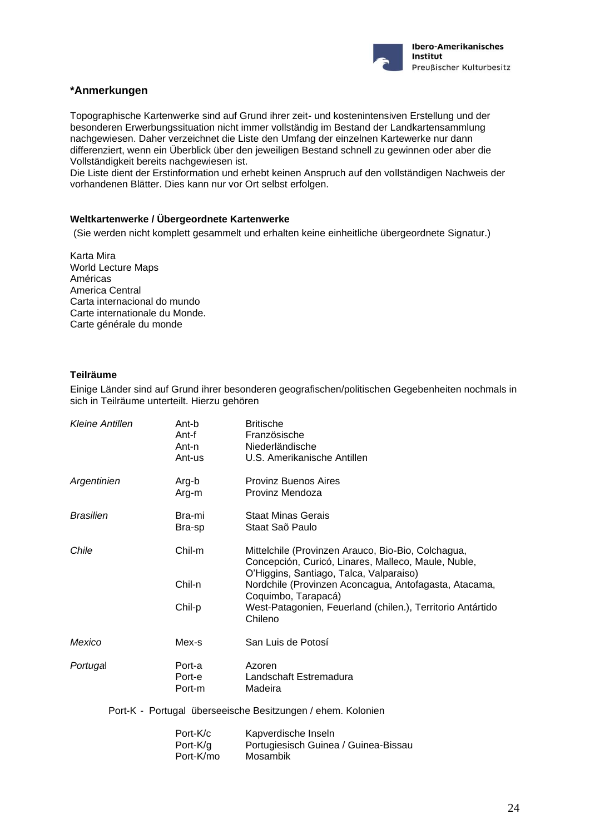

#### **\*Anmerkungen**

Topographische Kartenwerke sind auf Grund ihrer zeit- und kostenintensiven Erstellung und der besonderen Erwerbungssituation nicht immer vollständig im Bestand der Landkartensammlung nachgewiesen. Daher verzeichnet die Liste den Umfang der einzelnen Kartewerke nur dann differenziert, wenn ein Überblick über den jeweiligen Bestand schnell zu gewinnen oder aber die Vollständigkeit bereits nachgewiesen ist.

Die Liste dient der Erstinformation und erhebt keinen Anspruch auf den vollständigen Nachweis der vorhandenen Blätter. Dies kann nur vor Ort selbst erfolgen.

#### **Weltkartenwerke / Übergeordnete Kartenwerke**

(Sie werden nicht komplett gesammelt und erhalten keine einheitliche übergeordnete Signatur.)

Karta Mira World Lecture Maps Américas America Central Carta internacional do mundo Carte internationale du Monde. Carte générale du monde

#### **Teilräume**

Einige Länder sind auf Grund ihrer besonderen geografischen/politischen Gegebenheiten nochmals in sich in Teilräume unterteilt. Hierzu gehören

| Kleine Antillen  | Ant-b<br>Ant-f<br>Ant-n<br>Ant-us | <b>Britische</b><br>Französische<br>Niederländische<br>U.S. Amerikanische Antillen                                                                                                                                                   |
|------------------|-----------------------------------|--------------------------------------------------------------------------------------------------------------------------------------------------------------------------------------------------------------------------------------|
| Argentinien      | Arg-b<br>Arg-m                    | <b>Provinz Buenos Aires</b><br>Provinz Mendoza                                                                                                                                                                                       |
| <b>Brasilien</b> | Bra-mi<br>Bra-sp                  | Staat Minas Gerais<br>Staat Saõ Paulo                                                                                                                                                                                                |
| Chile            | Chil-m<br>Chil-n                  | Mittelchile (Provinzen Arauco, Bio-Bio, Colchagua,<br>Concepción, Curicó, Linares, Malleco, Maule, Nuble,<br>O'Higgins, Santiago, Talca, Valparaiso)<br>Nordchile (Provinzen Aconcagua, Antofagasta, Atacama,<br>Coquimbo, Tarapacá) |
|                  | Chil-p                            | West-Patagonien, Feuerland (chilen.), Territorio Antártido<br>Chileno                                                                                                                                                                |
| Mexico           | Mex-s                             | San Luis de Potosí                                                                                                                                                                                                                   |
| Portugal         | Port-a<br>Port-e<br>Port-m        | Azoren<br>Landschaft Estremadura<br>Madeira                                                                                                                                                                                          |

Port-K - Portugal überseeische Besitzungen / ehem. Kolonien

| Port-K/c  | Kapverdische Inseln                  |
|-----------|--------------------------------------|
| Port-K/g  | Portugiesisch Guinea / Guinea-Bissau |
| Port-K/mo | Mosambik                             |